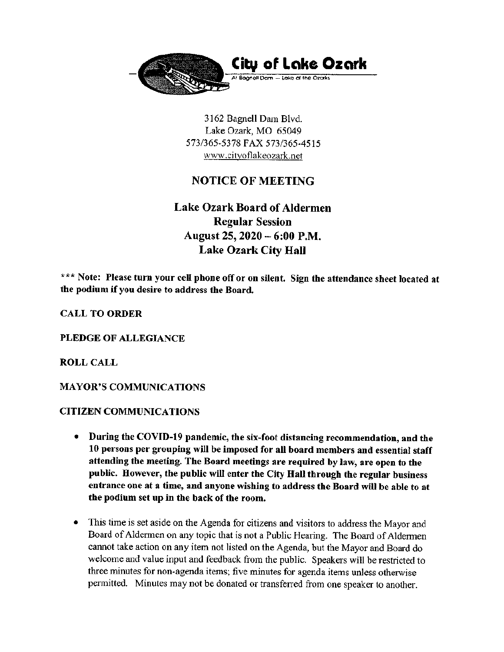

3162 Bagnell Dam Blvd. Lake Ozark, MO 65049 573/365-5378 FAX 573/365-4515 www.cityoflakeozark.net

# NOTICE OF MEETING

# Lake Ozark Board of Aldermen Regular Session August 25, 2020 - 6:00 P.M. Lake Ozark City Hall

\*\*\* Note: Please turn your cell phone off or on silent. Sign the attendance sheet located at the podium if you desire to address the Board.

CALL TO ORDER

PLEDGE OF ALLEGIANCE

ROLL CALL

MAYOR'S COMMUNICATIONS

CITIZEN COMMUNICATIONS

- . During the COVID-19 pandemic, the su-foot distancing recommendation, and the 10 persons per grouping will be imposed for all board members and essential staff attending the meeting. The Board meetings are required by law, are open to the public. However, the public will enter the City Hall through the regular business entrance one at a time, and anyone wishing to address the Board wiU be able to at the podium set up in the back of the room.
- . This time is set aside on the Agenda for citizens and visitors to address the Mayor and Board of Aldermen on any topic that is not a Public Hearing. The Board of Aldermen cannot take action on any item not listed on the Agenda, but the Mayor and Board do welcome and value input and feedback from the public. Speakers will be restricted to three minutes for non-agenda items; five minutes for agenda items unless otherwise permitted. Minutes may not be donated or transferred from one speaker to another.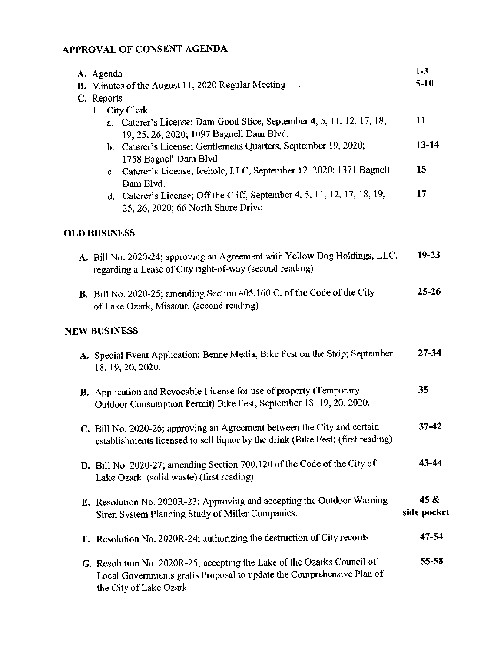# APPROVAL OF CONSENT AGENDA

| A. Agenda<br><b>B.</b> Minutes of the August 11, 2020 Regular Meeting<br>C. Reports                                                                                        | $1 - 3$<br>$5 - 10$    |
|----------------------------------------------------------------------------------------------------------------------------------------------------------------------------|------------------------|
| 1. City Clerk<br>a. Caterer's License; Dam Good Slice, September 4, 5, 11, 12, 17, 18,<br>19, 25, 26, 2020; 1097 Bagnell Dam Blvd.                                         | 11                     |
| b. Caterer's License; Gentlemens Quarters, September 19, 2020;<br>1758 Bagnell Dam Blvd.                                                                                   | $13 - 14$              |
| c. Caterer's License; Icehole, LLC, September 12, 2020; 1371 Bagnell<br>Dam Blvd.                                                                                          | 15                     |
| d. Caterer's License; Off the Cliff, September 4, 5, 11, 12, 17, 18, 19,<br>25, 26, 2020; 66 North Shore Drive.                                                            | 17                     |
| <b>OLD BUSINESS</b>                                                                                                                                                        |                        |
| A. Bill No. 2020-24; approving an Agreement with Yellow Dog Holdings, LLC.<br>regarding a Lease of City right-of-way (second reading)                                      | $19 - 23$              |
| B. Bill No. 2020-25; amending Section 405.160 C. of the Code of the City<br>of Lake Ozark, Missouri (second reading)                                                       | $25 - 26$              |
| <b>NEW BUSINESS</b>                                                                                                                                                        |                        |
| A. Special Event Application; Benne Media, Bike Fest on the Strip; September<br>18, 19, 20, 2020.                                                                          | $27 - 34$              |
| B. Application and Revocable License for use of property (Temporary<br>Outdoor Consumption Permit) Bike Fest, September 18, 19, 20, 2020.                                  | 35                     |
| C. Bill No. 2020-26; approving an Agreement between the City and certain<br>establishments licensed to sell liquor by the drink (Bike Fest) (first reading)                | $37 - 42$              |
| D. Bill No. 2020-27; amending Section 700.120 of the Code of the City of<br>Lake Ozark (solid waste) (first reading)                                                       | 43-44                  |
| E. Resolution No. 2020R-23; Approving and accepting the Outdoor Warning<br>Siren System Planning Study of Miller Companies.                                                | $45 \&$<br>side pocket |
| F. Resolution No. 2020R-24; authorizing the destruction of City records                                                                                                    | 47-54                  |
| G. Resolution No. 2020R-25; accepting the Lake of the Ozarks Council of<br>Local Governments gratis Proposal to update the Comprehensive Plan of<br>the City of Lake Ozark | 55-58                  |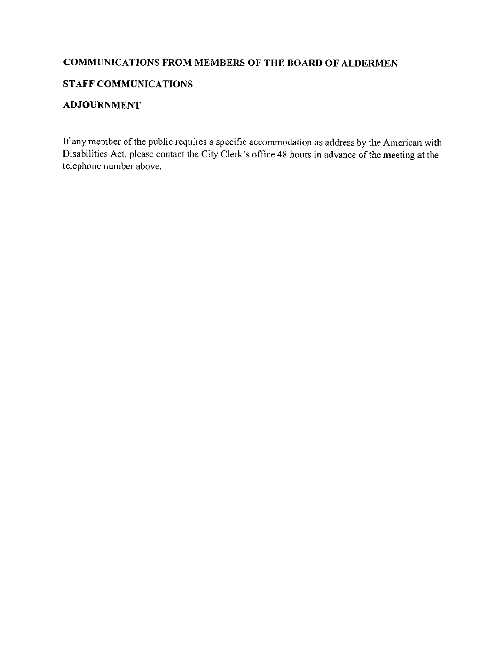# COMMUNICATIONS FROM MEMBERS OF THE BOARD OF ALDERMEN

# STAFF COMMUNICATIONS

# ADJOURNMENT

If any member of the public requires a specific accommodation as address by the American with Disabilities Act, please contact the City Clerk's office 48 hours in advance of the meeting at the telephone number above.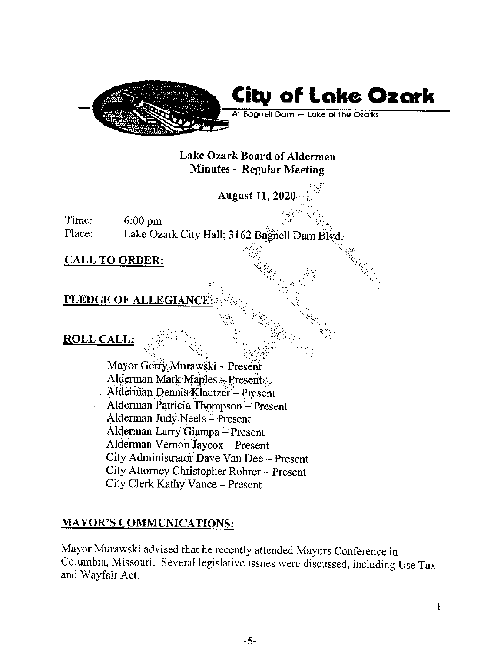

# City of Lake Ozark

At Bagnell Dam - Lake of the Ozarks

# Lake Ozark Board of Aldermen Minutes - Regular Meeting

August 11, 2020

Time: Place: 6:00 pm Lake Ozark City Hall; 3162 Bagnell Dam Blvd.

# CALL TO ORDER:

# PLEDGE OF ALLEGIANCE

# ROLL CALL:

Mayor Gerry Murawski - Present Alderman Mark Maples - Present Alderman Dennis Klautzer - Present Alderman Patricia Thompson - Present Alderman Judy Neels - Present Alderman Larry Giampa - Present Alderman Vemon Jaycox - Present City Administrator Dave Van Dee - Present City Attorney Christopher Rohrer - Present City Clerk Kathy Vance - Present

# MAYOR'S COMMUNICATIONS:

Mayor Murawski advised that he recently attended Mayors Conference in Columbia, Missouri. Several legislative issues were discussed, including Use Tax and Wayfair Act.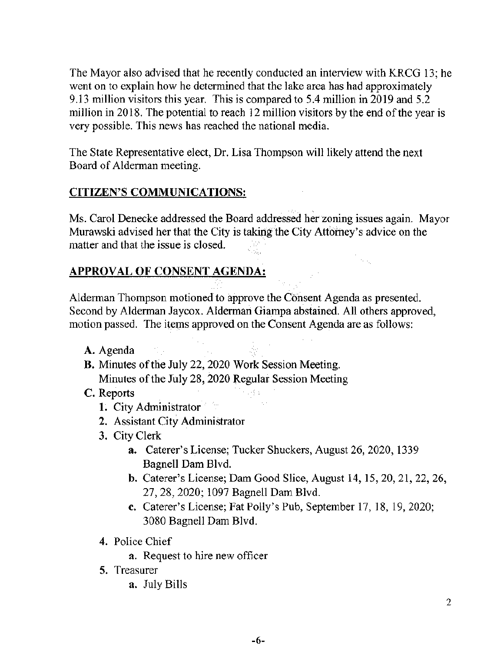The Mayor also advised that he recently conducted an interview with KRCG 13; he went on to explain how he determined that the lake area has had approximately 9. 13 million visitors this year. This is compared to 5.4 million in 2019 and 5.2 million in 2018. The potential to reach 12 million visitors by the end of the year is very possible. This news has reached the national media.

The State Representative elect. Dr. Lisa Thompson will likely attend the next Board of Alderman meeting.

# CITIZEN'S COMMUNICATIONS:

Ms. Carol Denecke addressed the Board addressed her zoning issues again. Mayor Murawski advised her that the City is taking the City Attorney's advice on the matter and that the issue is closed.

 $\mathcal{H}_{\mathcal{F}_{\mathcal{G}}}$ 

# APPROVAL OF CONSENT AGENDA:

Alderman Thompson motioned to approve the Consent Agenda as presented. Second by Alderman Jaycox. Alderman Giampa abstained. All others approved, motion passed. The items approved on the Consent Agenda are as follows:

والأمراج

- A. Agenda
- B. Minutes of the July 22, 2020 Work Session Meeting. Minutes of the July 28, 2020 Regular Session Meeting
- C. Reports
	- 1. City Administrator

肉子

- 2. Assistant City Administrator
- 3. City Clerk
	- a. Caterer's License; Tucker Shuckers, August 26, 2020, 1339 Bagnell Dam Blvd.
	- b. Caterer's License; Dam Good Slice, August 14, 15, 20, 21, 22, 26, 27, 28, 2020; 1097 Bagnell Dam Blvd.
	- c. Caterer's License; Fat Polly's Pub, September 17, 18, 19, 2020; 3080 Bagnell Dam Blvd.
- 4. Police Chief
	- a. Request to hire new officer
- 5. Treasurer
	- a. July Bills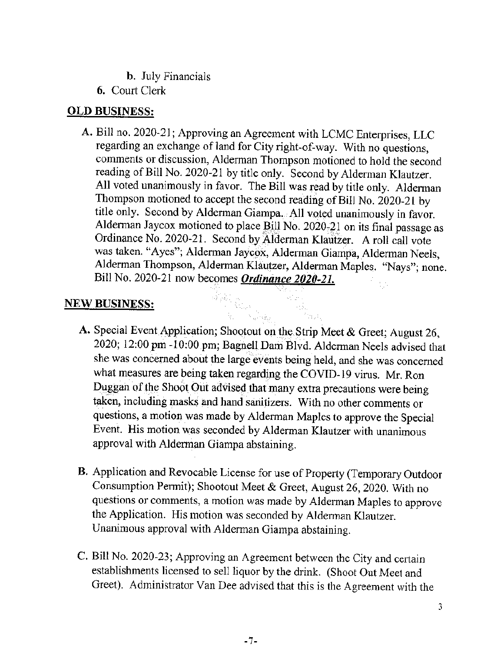- b. July Financials
- 6. Court Clerk

# OLD BUSINESS:

A. Bill no. 2020-21; Approving an Agreement with LCMC Enterprises, LLC regarding an exchange of land for City right-of-way. With no questions, comments or discussion, Alderman Thompson motioned to hold the second reading of Bill No. 2020-21 by title only. Second by Alderman Klautzer. All voted unanimously in favor. The Bill was read by title only. Alderman Thompson motioned to accept the second reading of Bill No. 2020-21 by title only. Second by Alderman Giampa. All voted unanimously in favor. Alderman Jaycox motioned to place Bill No. 2020-21 on its final passage as Ordinance No. 2020-21. Second by Alderman Klautzer. A roll call vote was taken. "Ayes"; Alderman Jaycox, Alderman Giampa, Alderman Neels, Alderman Thompson, Alderman Klautzer, Alderman Maples. "Nays"; none. Bill No. 2020-21 now becomes **Ordinance 2020-21.** 

# NEW BUSINESS:

- A. Special Event Application; Shootout on the Strip Meet & Greet; August 26, 2020; 12:00 pm -10:00 pm; Bagnell Dam Blvd. Alderman Neels advised that she was concerned about the large events being held, and she was concerned what measures are being taken regarding the COVID-19 vims. Mr. Ron Duggan of the Shoot Out advised that many extra precautions were being taken, including masks and hand samtizers. With no other comments or questions, a motion was made by Alderman Maples to approve the Special Event. His motion was seconded by Alderman Klautzer with unanimous approval with Alderman Giampa abstaining.
- B. Application and Revocable License for use of Property (Temporary Outdoor Consumption Permit); Shootout Meet & Greet, August 26, 2020. With no questions or comments, a motion was made by Alderman Maples to approve the Application. His motion was seconded by Alderman Klautzer. Unanimous approval with Alderman Giampa abstaining.
- C. Bill No. 2020-23; Approving an Agreement between the City and certain establishments licensed to sell liquor by the drink. (Shoot Out Meet and Greet). Administrator Van Dee advised that this is the Agreement with the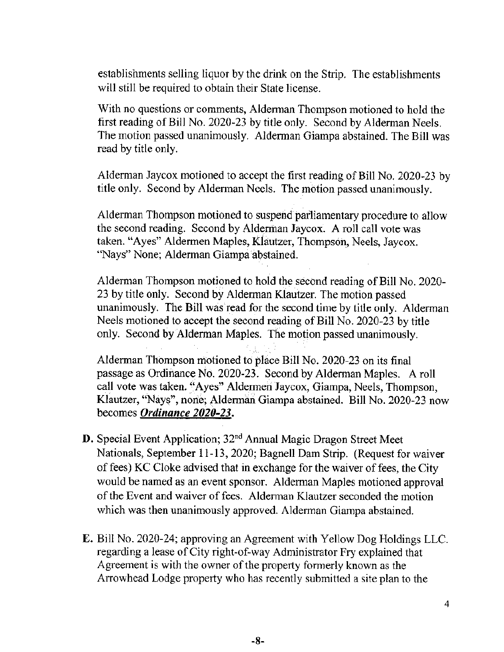establishments selling liquor by the drink on the Strip. The establishments will still be required to obtain their State license.

With no questions or comments, Alderman Thompson motioned to hold the first reading of Bill No. 2020-23 by title only. Second by Alderman Neels. The motion passed unanimously. Alderman Giampa abstained. The Bill was read by title only.

Alderman Jaycox motioned to accept the first reading of Bill No. 2020-23 by title only. Second by Aldennan Neels. The motion passed unanimously.

Alderman Thompson motioned to suspend parliamentary procedure to allow the second reading. Second by Alderman Jaycox. A roll call vote was taken. "Ayes" Aldermen Maples, Klautzer, Thompson, Neels, Jaycox. "Nays" None; Alderman Giampa abstained.

Alderman Thompson motioned to hold the second reading of Bill No. 2020- 23 by title only. Second by Alderman Klautzer. The motion passed unanimously. The Bill was read for the second time by title only. Alderman Neels motioned to accept the second reading of Bill No. 2020-23 by title only. Second by Alderman Maples. The motion passed unanimously.

Aldennan Thompson motioned to place Bill No. 2020-23 on its final passage as Ordinance No. 2020-23. Second by Alderman Maples. A roll call vote was taken. "Ayes" Aldermen Jaycox, Giampa, Neels, Thompson, Klautzer, "Nays", none; Alderman Giampa abstained. Bill No. 2020-23 now becomes Ordinance 2020-23.

- D. Special Event Application; 32nd Annual Magic Dragon Street Meet Nationals, September 11-13, 2020; Bagnell Dam Strip. (Request for waiver of fees) KC Cloke advised that in exchange for the waiver of fees, the City would be named as an event sponsor. Alderman Maples motioned approval of the Event and waiver of fees. Alderman Klautzer seconded the motion which was then unanimously approved. Alderman Giampa abstained.
- E. Bill No. 2020-24; approving an Agreement with Yellow Dog Holdings LLC. regarding a lease of City right-of-way Administrator Fry explained that Agreement is with the owner of the property formerly known as the Arrowhead Lodge property who has recently submitted a site plan to the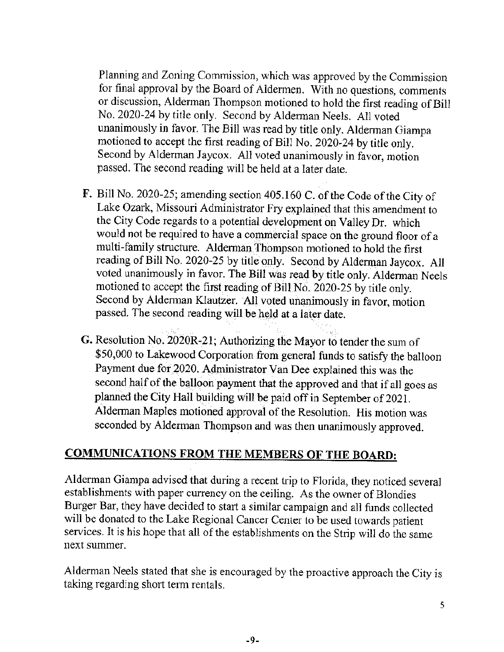Planning and Zoning Commission, which was approved by the Commission for final approval by the Board of Aldermen. With no questions, comments or discussion, Alderman Thompson motioned to hold the first reading of Bill No. 2020-24 by title only. Second by Alderman Neels. All voted unanimously in favor. The Bill was read by title only. Alderman Giampa motioned to accept the first reading of Bill No. 2020-24 by title only. Second by Alderman Jaycox. All voted unanimously in favor, motion passed. The second reading will be held at a later date.

- F. Bill No. 2020-25; amending section 405. 160 C. of the Code of the City of Lake Ozark, Missouri Administrator Fry explained that this amendment to the City Code regards to a potential development on Valley Dr. which would not be required to have a commercial space on the ground floor of a multi-family structure. Alderman Thompson motioned to hold the first reading of Bill No. 2020-25 by title only. Second by Alderman Jaycox. All voted unanimously in favor. The Bill was read by title only. Alderman Neels motioned to accept the first reading of Bill No. 2020-25 by title only. Second by Alderman Klautzer. All voted unanimously in favor, motion passed. The second reading will be held at a later date.
- G. Resolution No. 2020R-21; Authorizing the Mayor to tender the sum of \$50,000 to Lakewood Corporation from general funds to satisfy the balloon Payment due for 2020. Administrator Van Dee explained this was the second half of the balloon payment that the approved and that if all goes as planned the City Hall building will be paid off in September of 2021. Alderman Maples motioned approval of the Resolution. His motion was seconded by Alderman Thompson and was then unanimously approved.

# COMMUNICATIONS FROM THE MEMBERS OF THE BOARD:

Alderman Giampa advised that during a recent trip to Florida, they noticed several establishments with paper currency on the ceiling. As the owner of Blondies Burger Bar, they have decided to start a similar campaign and all funds collected will be donated to the Lake Regional Cancer Center to be used towards patient services. It is his hope that all of the establishments on the Strip will do the same next summer.

Alderman Neels stated that she is encouraged by the proactive approach the City is taking regarding short term rentals.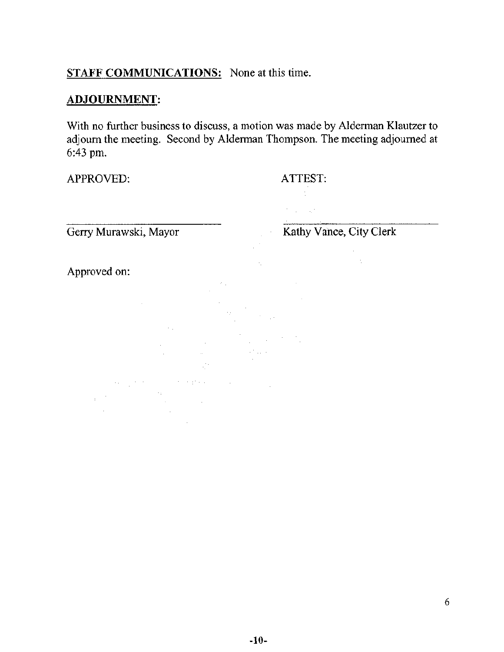# STAFF COMMUNICATIONS: None at this time.

# ADJOURNMENT:

With no further business to discuss, a motion was made by Alderman Klautzer to adjourn the meeting. Second by Alderman Thompson. The meeting adjourned at 6:43 pm.

APPROVED: ATTEST:

 $\cdot$ 

 $\mathcal{F}^{\mathcal{G}}_{\mathcal{G}}(x)$  and  $\mathcal{F}^{\mathcal{G}}_{\mathcal{G}}(x)$ 

Approved on:

 $\mathcal{E}_{\rm{int}}$  $\sim 1$  $\bar{z}$  $\Delta \sim 10^{11}$ 

 $\gamma$  , and the  $\gamma$  $\sim 10^{11}$ 

Gerry Murawski, Mayor Kathy Vance, City Clerk

 $\mathcal{A}_1$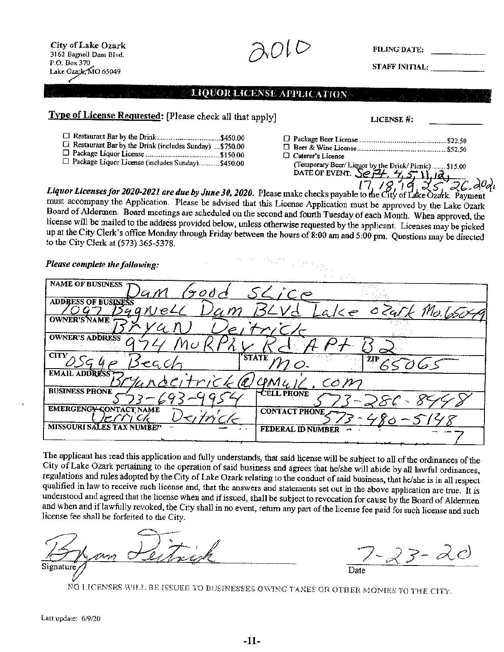City of Lake Ozark 3162 Bagnell Dam Blvd. P.O. Box 370 Lake Ozark, MO 65049

FILING DATE:

STAFF INITIAL:

LIQUOR LICENSE APPLICATION

Type of License Requested: [Please check all that apply] LICENSE #:

D Restaurant Bar by the Drink.................................. \$450. 00

D Restaurant Bar by the Drink (includes Sunday) .... \$750.00 D Package Liquor License ........................................ \$150.00

D Package Liquor License (includes Sunday)........... \$450.00

| $\Box$ Caterer's License |  |
|--------------------------|--|
|                          |  |

(Temporary Beer/ Liquor by the Drink/ Picnic)....... \$15.00<br>DATE OF EVENT:  $\frac{S P H}{P}$ ,  $\frac{f f}{P}$ ,  $\frac{S f}{P}$ 

Liquor Licenses for 2020-2021 are due by June 30, 2020. Please make checks payable to the City of Lake Ozark. Payment must accompany the Application. Please be advised that this License Application must be approved by the Lake Ozark Board of Aldermen. Board meetings are scheduled on the second and fourth Tuesday of each Month. When approved, the . up at the City Clerk's office Monday through Friday between the hours of 8:00 am and 5:66 pm. Questions may be dfrected license will be mailed to the address provided below, unless otherwise requested by the applicant. Licenses may be picked to the City Clerk at (573) 365-5378.

 $\label{eq:2} \frac{1}{2} \left( \frac{1}{2} \frac{d^2}{dt} \right)^2 \frac{d^2}{dt}$ 

Please complete the following:

| <b>NAME OF BUSINESS</b><br>$'\gamma$ oda   | $\Lambda^{\dagger}$             |
|--------------------------------------------|---------------------------------|
| <b>ADDRESS OF BUSINESS</b><br><i>uanje</i> | oZark<br>$M_{O.}$<br>$\epsilon$ |
| OWNER'S NAME                               |                                 |
| <b>OWNER'S ADDRESS</b>                     |                                 |
| <b>CITY</b><br>STÅTE                       | ZIP                             |
| <b>EMAIL ADDRESS?</b>                      |                                 |
| <b>BUSINESS PHONE</b>                      | CELL PHONE                      |
| EMERGENGY CONTACT NAME                     | <b>CONTACT PHONE</b>            |
| MISSOURI SALES TAX NUMBEP                  | <b>FEDERAL ID NUMBER</b><br>×   |

The applicant has read this application and fully understands, that said license will be subject to all of the ordinances of the City of Lake Ozark pertaining to the operation of said business and agrees that he/she will abide by all lawful ordinances, regulations and rules adopted by the City of Lake Ozark relating to the conduct of said business, that he/she is in all respect qualified in law to receive such license and, that the answers and statements set out in the above application are true. It is understood and agreed that the license when and if issued, shall be subject to revocation for cause by the Board of Aldermen and when and if lawfully revoked, the City shall in no event, return any part of the license fee paid for such license and such license fee shall be forfeited to the City.

Signature

 $-23 - 20$ Date

NO LICENSES WILL BE ISSUED TO BUSINESSES OWING TAXES OR OTHER MONIES TO THE CITY.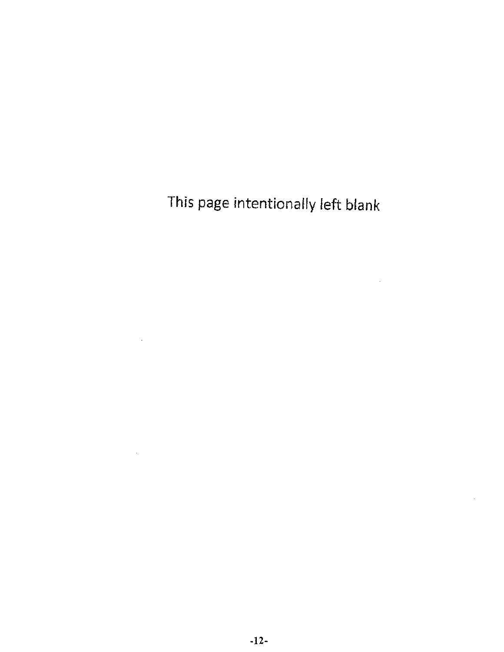This page intentionally left blank

 $\sim$ 

 $\mathcal{L}^{\text{max}}_{\text{max}}$  , where  $\mathcal{L}^{\text{max}}_{\text{max}}$ 

 $\sim$   $\sim$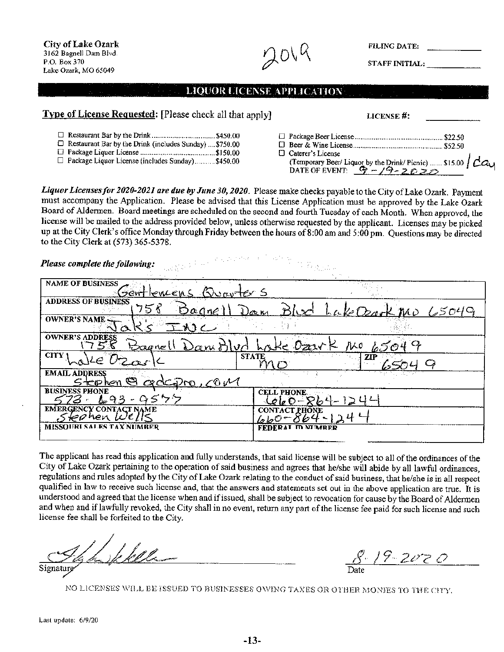t

# $2015$

FILING DATE:

STAFF INITIAL:

### »i f^-b'--^'- Jf-S -.."'- h?^-' **LIQUOR LICENSE APPLICATION**

# Type of License Requested: [Please check all that apply]

### LICENSE #:

D Restaurant Bar by the Drink.................................. \$450.00 D Restaurant Bar by the Drink (includes Sunday) .... \$750.00

D Package Liquor License ........................................ \$150. 00

 $\Box$  Package Liquor License (includes Sunday)............ \$450.00

D Package Beer License............................................... \$22.50 D Beer & Wine License................................................ \$52. <sup>50</sup> D Caterer's License (Temporary Beer/ Liquor by the Drink/ Picnic)....... \$15.00<br>DATE OF EVENT:  $\frac{G_2 - 1}{2} - 2020$ 

Liquor Licenses for 2020-2021 are due by June 30, 2020. Please make checks payable to the City of Lake Ozark. Payment must accompany the Application. Please be advised that this License Application must be approved by the Lake Ozark Board of Aldermen. Board meetings are scheduled on the second and fourth Tuesday of each Month. When approved, the license will be mailed to the address provided below, unless otherwise requested by the applicant. Licenses may be picked up at the City Clerk's office Monday through Friday between the hours of 8:00 am and 5:00 pm. Questions may be directed to the City Clerk at (573) 365-5378.

 $\label{eq:2.1} \lim_{\lambda\to 0}\sum_{i=1}^n\lambda_i\frac{1}{\lambda_i}\int_{\mathbb{R}^n}\left|\frac{1}{\lambda_i}\int_{\mathbb{R}^n}\left|\frac{1}{\lambda_i}\int_{\mathbb{R}^n}\left|\frac{1}{\lambda_i}\int_{\mathbb{R}^n}\left|\frac{1}{\lambda_i}\int_{\mathbb{R}^n}\right|\frac{1}{\lambda_i}\int_{\mathbb{R}^n}\left|\frac{1}{\lambda_i}\int_{\mathbb{R}^n}\left|\frac{1}{\lambda_i}\int_{\mathbb{R}^n}\right|\frac{1}{\lambda_i}\int_{\mathbb{R}^n}\left|\$ 

Please complete the following:

| <b>SAMPLE ROLL</b>                                               |                                                        |
|------------------------------------------------------------------|--------------------------------------------------------|
| <b>NAME OF BUSINESS</b><br>sentlemens                            |                                                        |
| <b>ADDRESS OF BUSINESS</b><br>クぢく<br>$\forall$ aane              | Dan<br>Lake Ozook Mo                                   |
| <b>OWNER'S NAME-</b>                                             |                                                        |
| <b>OWNER'S ADDRESS</b><br>Bagnell<br>Dani)                       | AX 0                                                   |
| <b>CITY</b><br>Le $\theta$ zar'                                  | <b>STATE</b><br>ZIP<br>MC                              |
| <b>EMAIL ADDRESS</b><br><u>Stephen</u> ®<br>COM<br><u>adcDro</u> |                                                        |
| <b>BUSINESS PHONE</b><br>のぐわわ<br>७१३<br>$\sim$                   | <b>CELL PHONE</b><br>$\mathcal{O}$ to $\mathbb{D}$ $-$ |
| <b>EMERGENCY CONTACT NAME</b><br>ephen Wells                     | <b>CONTACT PHONE</b>                                   |
| MISSOURI SALES TAX NUMBER                                        | <b>FEDERAL ID NIMBER</b>                               |

The applicant has read this application and fully understands, that said license will be subject to all of the ordinances of the City of Lake Ozark pertaining to the operation of said business and agrees that he/she will abide by all lawful ordinances, regulations and mles adopted by the City of Lake Ozark relating to the conduct of said business, that he/she is in all respect qualified in law to receive such license and, that the answers and statements set out m the above application are tme. It is understood and agreed that the license when and if issued, shall be subject to revocation for cause by the Board of Aldermen and when and if lawfully revoked, the City shall in no event, return any part of the license fee paid for such license and such license fee shall be forfeited to the City.

Signature Date

<u>8- 19-2020</u>

NO LICENSES WILL BE ISSUED TO BUSINESSES OWING TAXES OR OTHER MONIES TO THE CITY,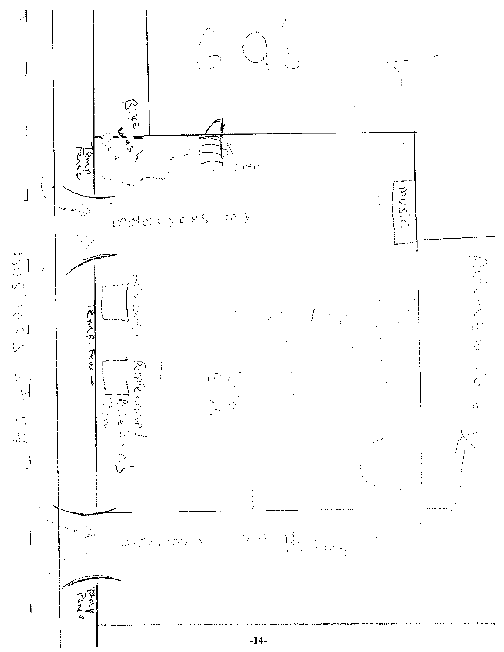

 $-14-$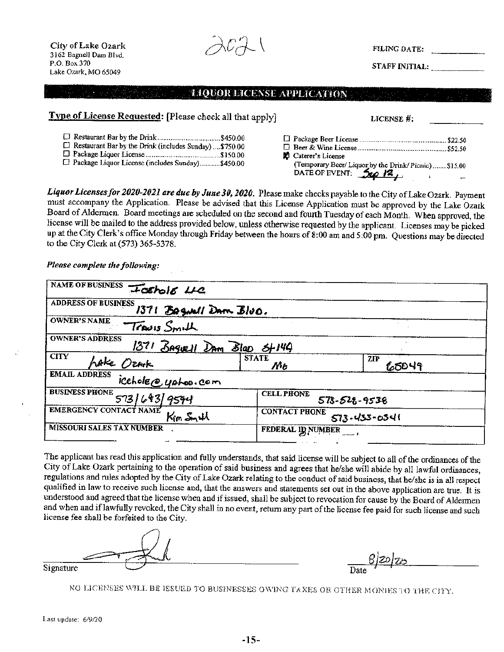City of Lake Ozark 3162 Bagnell Dam Blvd. P.O. Box 370 Lake Ozark, MO 65049

# Lake Ozark, MO 65049<br> **I 10 UOU A LICENSE APPLICATION**

# Type of License Requested: [Please check all that apply]

D Restaurant Bar by the Drink.................................. \$450. 00

D Restaurant Bar by the Drink (includes Sunday) .... \$750. 00

D Package Liquor License........................................ \$150.00

D Package Liquor License (includes Sunday)...........\$450.00

Liquor Licenses for 2020-2021 are due by June 30, 2020. Please make checks payable to the City of Lake Ozark. Payment must accompany the Application. Please be advised that this License Application must be approved by the Lake Ozark Board of Aldermen. Board meetings are scheduled on the second and fourth Tuesday of each Month. When approved, the license will be mailed to the address provided below, unless otherwise requested by the applicant. Licenses may be picked up at the City Clerk's office Monday through Friday between the hours of 8:00 am and 5:66 pm. Questions may be directed to the City Clerk at (573) 365-5378.

Please complete the following:

| NAME OF BUSINESS TOEPOIE LAC                         |                              |                    |  |
|------------------------------------------------------|------------------------------|--------------------|--|
| <b>ADDRESS OF BUSINESS</b><br>1371 Bagwell Dam Blue. |                              |                    |  |
| <b>OWNER'S NAME</b><br>Traves Smith                  |                              |                    |  |
| <b>OWNER'S ADDRESS</b>                               | 1371 Baguell Dam Blop St 144 |                    |  |
| <b>CITY</b><br>LAKE OZAR                             | <b>STATE</b><br>Mь           | ZIP<br>65049       |  |
| <b>EMAIL ADDRESS</b><br>icchole@yahoo.com            |                              |                    |  |
| <b>BUSINESS PHONE</b><br>573169319594                | <b>CELL PHONE</b>            | $573 - 528 - 9538$ |  |
| <b>EMERGENCY CONTACT NAME</b><br>Kin Syth            | <b>CONTACT PHONE</b>         | 573.433.0341       |  |
| <b>MISSOURI SALES TAX NUMBER</b>                     | FEDERAL ID NUMBER            |                    |  |

The applicant has read this application and fully understands, that said license will be subject to all of the ordinances of the City of Lake Ozark pertaming to the operation of said busmess and agrees that he/she will abide by all lawful ordinances, regulations and mles adopted by the City of Lake Ozark relating to the conduct of said business, that he/she is in all respect qualified m law to receive such license and, that the answers and statements set out m the above application are true. It is understood and agreed that the license when and if issued, shall be subject to revocation for cause by the Board of Aldermen and when and if lawfully revoked, the City shall in no event, return any part of the license fee paid for such license and such license fee shall be forfeited to the City.

 $Signature$   $\overline{Date}$ 



FILING DATE:

LICENSE #:

STAFF INITIAL:

NO LICENSES WILL BE ISSUED TO BUSINESSES OWING TAXES OR OTHER MONIES TO THE CITY.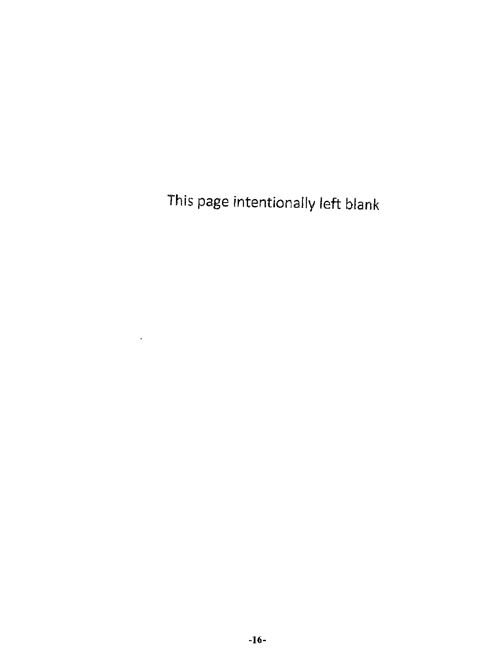This page intentionally left blank

 $\mathcal{A}^{\mathcal{A}}$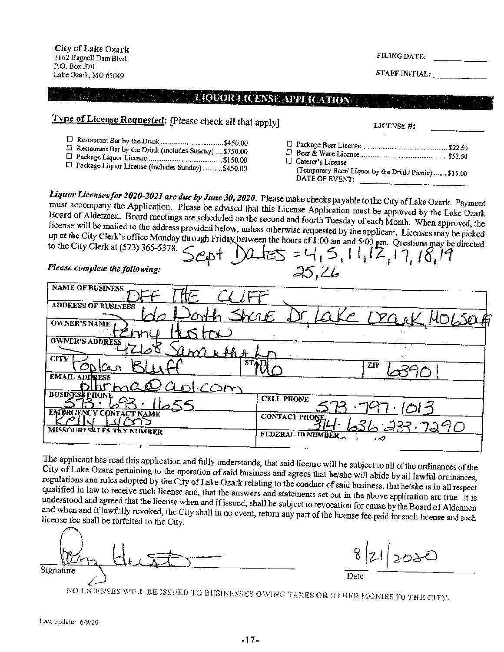City of Lake Ozark 3162 Bagnell Dam Blvd. P.O. Box 370 Lake Ozark, MO 65049

# **LIQUOR LICENSE APPLICATION**

Type of License Requested: [Please check all that apply]

- 
- $\square$  Restaurant Bar by the Drink (includes Sunday) .... \$750.00
- 
- [D] Package Liquor License (includes Sunday)...........\$450.00

□ Caterer's License (Temporary Beer/Liquor by the Drink/Picnic) ....... \$15.00 DATE OF EVENT:

Liquor Licenses for 2020-2021 are due by June 30, 2020. Please make checks payable to the City of Lake Ozark. Payment must accompany the Application. Please be advised that this License Application must be approved by the Lake Ozark Board of Aldermen. Board meetings are scheduled on the second and fourth Tuesday of each Month. When approved, the license will be mailed to the address provided below, unless otherwise requested by the applicant. Licenses may be picked up at the City Clerk's office Monday through Friday between the hours of 8:00 am and 5:00 pm. Questions may be directed to the City Clerk at (573) 365-5378.  $\leq e^{pt}$   $\frac{1}{e^{5}} = 4.5.1172.17.18.19$ <br>Please complete the following:<br> $\frac{25.26}{10.19}$ 

| <b>NAME OF BUSINESS</b>    |                                          |
|----------------------------|------------------------------------------|
| <b>ADDRESS OF BUSINESS</b> |                                          |
|                            | <u>ShriE</u><br>$\overline{\mathcal{L}}$ |
| <b>OWNER'S NAME</b>        |                                          |
| nn                         |                                          |
| <b>OWNER'S ADDRESS</b>     |                                          |
|                            |                                          |
| <b>CITY</b>                |                                          |
|                            | STATE<br><b>ZIP</b>                      |
| الكفا                      |                                          |
| <b>EMAIL ADDRESS</b>       |                                          |
| $\triangle\uparrow$        |                                          |
| <b>BUSINESS PHONE</b>      | <b>CELL PHONE</b>                        |
|                            | 1013                                     |
| EMPRGENCY CONTACT NAME     |                                          |
|                            | <b>CONTACT PHONE,</b>                    |
| MISSOURI SAI ES TAX NUMBER | 233.7290                                 |
|                            | FEDERAL ID NUMBER                        |
|                            | 1 XI                                     |
|                            |                                          |

The applicant has read this application and fully understands, that said license will be subject to all of the ordinances of the City of Lake Ozark pertaining to the operation of said business and agrees that he/she will abide by all lawful ordinances, regulations and rules adopted by the City of Lake Ozark relating to the conduct of said business, that he/she is in all respect qualified in law to receive such license and, that the answers and statements set out in the above application are true. It is understood and agreed that the license when and if issued, shall be subject to revocation for cause by the Board of Aldermen and when and if lawfully revoked, the City shall in no event, return any part of the license fee paid for such license and such license fee shall be forfeited to the City.

Signature

12020 Date

NO LICENSES WILL BE ISSUED TO BUSINESSES OWING TAXES OR OTHER MONIES TO THE CITY.

LICENSE #:

FILING DATE:

STAFF INITIAL:

 $-17-$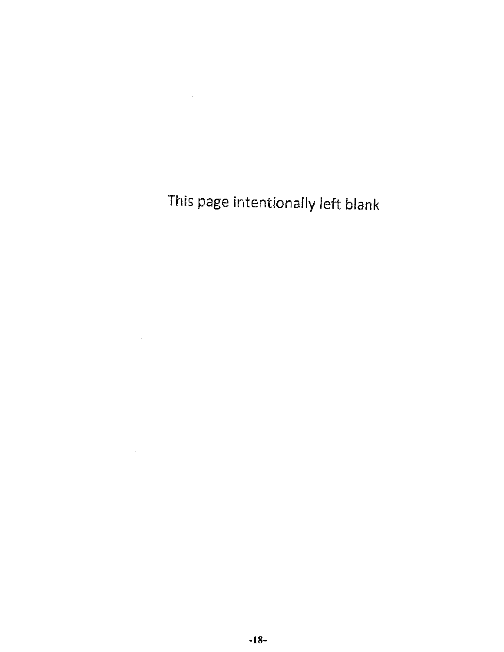This page intentionally left blank

 $\sim 100$ 

 $\label{eq:2.1} \frac{1}{\sqrt{2}}\int_{\mathbb{R}^3}\frac{1}{\sqrt{2}}\left(\frac{1}{\sqrt{2}}\right)^2\frac{1}{\sqrt{2}}\left(\frac{1}{\sqrt{2}}\right)^2\frac{1}{\sqrt{2}}\left(\frac{1}{\sqrt{2}}\right)^2\frac{1}{\sqrt{2}}\left(\frac{1}{\sqrt{2}}\right)^2.$ 

 $\mathcal{L}^{\text{max}}_{\text{max}}$  and  $\mathcal{L}^{\text{max}}_{\text{max}}$ 

 $\label{eq:2.1} \frac{1}{\sqrt{2}}\int_{\mathbb{R}^3}\frac{1}{\sqrt{2}}\left(\frac{1}{\sqrt{2}}\right)^2\frac{1}{\sqrt{2}}\left(\frac{1}{\sqrt{2}}\right)^2\frac{1}{\sqrt{2}}\left(\frac{1}{\sqrt{2}}\right)^2\frac{1}{\sqrt{2}}\left(\frac{1}{\sqrt{2}}\right)^2\frac{1}{\sqrt{2}}\left(\frac{1}{\sqrt{2}}\right)^2.$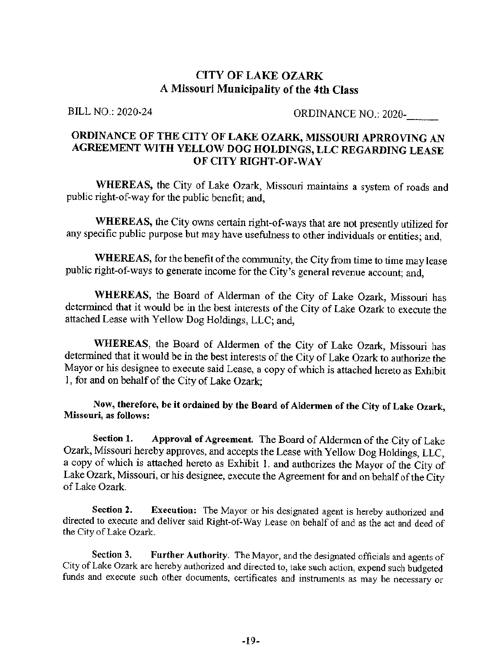# CITY OF LAKE OZARK A Missouri Municipality of the 4th Class

BILL NO.: 2020-24 ORDINANCE NO. : 2020-

# ORDINANCE OF THE CITY OF LAKE OZARK, MISSOURI APRROVING AN AGREEMENT WITH YELLOW DOG HOLDINGS, LLC REGARDING LEASE OF CITY RIGHT-OF-WAY

WHEREAS, the City of Lake Ozark, Missouri maintains a system of roads and public right-of-way for the public benefit; and,

WHEREAS, the City owns certain right-of-ways that are not presently utilized for any specific public purpose but may have usefulness to other individuals or entities; and,

WHEREAS, for the benefit of the community, the City from time to time may lease public right-of-ways to generate income for the City's general revenue account; and,

WHEREAS, the Board of Alderman of the City of Lake Ozark, Missouri has determined that it would be in the best interests of the City of Lake Ozark to execute the attached Lease with Yellow Dog Holdings, LLC; and,

WHEREAS, the Board of Aldermen of the City of Lake Ozark, Missouri has determined that it would be in the best interests of the City of Lake Ozark to authorize the Mayor or his designee to execute said Lease, a copy of which is attached hereto as Exhibit 1, for and on behalf of the City of Lake Ozark;

Now, therefore, be it ordained by the Board of Aldermen of the City of Lake Ozark, Missouri, as follows:

Section 1. Approval of Agreement. The Board of Aldermen of the City of Lake Ozark, Missouri hereby approves, and accepts the Lease with Yellow Dog Holdings, LLC, a copy of which is attached hereto as Exhibit 1. and authorizes the Mayor of the City of Lake Ozark, Missouri, or his designee, execute the Agreement for and on behalf of the City of Lake Ozark.

Section 2. Execution: The Mayor or his designated agent is hereby authorized and directed to execute and deliver said Right-of-Way Lease on behalf of and as the act and deed of the City of Lake Ozark.

Section 3. Further Authority. The Mayor, and the designated officials and agents of City of Lake Ozark are hereby authorized and directed to, take such action, expend such budgeted funds and execute such other documents, certificates and instruments as may be necessary or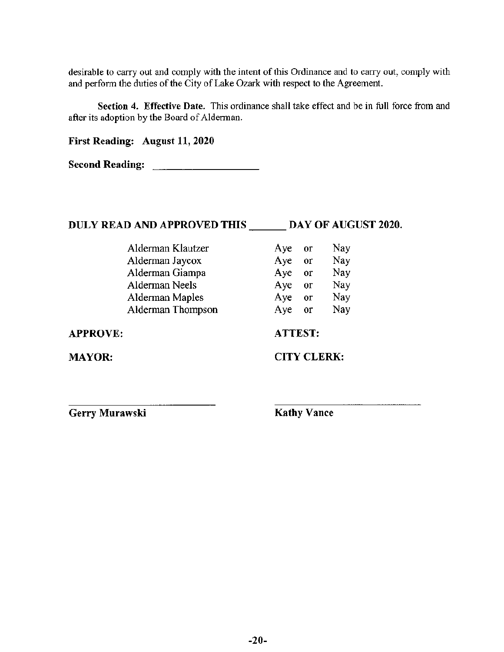desirable to carry out and comply with the intent of this Ordinance and to carry out, comply with and perform the duties of the City of Lake Ozark with respect to the Agreement.

Section 4. Effective Date. This ordinance shall take effect and be in full force from and after its adoption by the Board of Alderman.

First Reading: August 11, 2020

Second Reading:

# DULY READ AND APPROVED THIS DAY OF AUGUST 2020.

| <b>APPROVE:</b>   |     | <b>ATTEST:</b> |     |
|-------------------|-----|----------------|-----|
| Alderman Thompson | Aye | -or            | Nay |
| Alderman Maples   | Aye | -or            | Nay |
| Alderman Neels    | Aye | or             | Nay |
| Alderman Giampa   | Aye | -or            | Nay |
| Alderman Jaycox   | Aye | -or            | Nay |
| Alderman Klautzer | Aye | 0ľ             | Nay |

MAYOR:

CITY CLERK:

Gerry Murawski Kathy Vance

. . . . . . . . . . . . . . . .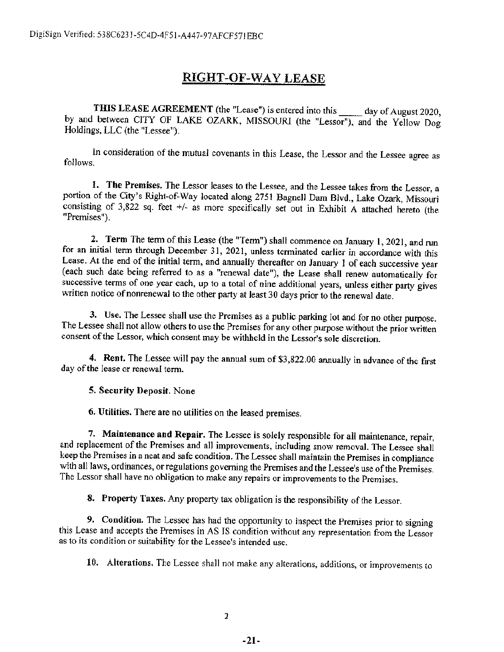# **RIGHT-OF-WAY LEASE**

THIS LEASE AGREEMENT (the "Lease") is entered into this \_\_\_\_\_ day of August 2020, by and between CITY OF LAKE OZARK, MISSOURI (the "Lessor"), and the Yellow Dog Holdings, LLC (the "Lessee").

In consideration of the mutual covenants in this Lease, the Lessor and the Lessee agree as follows.

1. The Premises. The Lessor leases to the Lessee, and the Lessee takes from the Lessor, a portion of the City's Right-of-Way located along 2751 Bagnell Dam Blvd., Lake Ozark, Missouri consisting of  $3,822$  sq. feet  $+\prime$ - as more specifically set out in Exhibit A attached hereto (the "Premises").

2. Term The term of this Lease (the "Term") shall commence on January 1, 2021, and run for an initial term through December 31, 2021, unless terminated earlier in accordance with this Lease. At the end of the initial term, and annually thereafter on January 1 of each successive year (each such date being referred to as a "renewal date"), the Lease shall renew automatically for successive terms of one year each, up to a total of nine additional years, unless either party gives written notice of nonrenewal to the other party at least 30 days prior to the renewal date.

3. Use. The Lessee shall use the Premises as a public parking lot and for no other purpose. The Lessee shall not allow others to use the Premises for any other purpose without the prior written consent of the Lessor, which consent may be withheld in the Lessor's sole discretion.

4. Rent. The Lessee will pay the annual sum of \$3, 822. 00 annually in advance of the first day of the lease or renewal term.

5. Security Deposit. None

6. Utilities. There are no utilities on the leased premises.

7. Maintenance and Repair. The Lessee is solely responsible for all maintenance, repair, and replacement of the Premises and all improvements, including snow removal. The Lessee shall keep the Premises in a neat and safe condition. The Lessee shall maintain the Premises in compliance with all laws, ordinances, or regulations governing the Premises and the Lessee's use of the Premises. The Lessor shall have no obligation to make any repairs or improvements to the Premises.

8. Property Taxes. Any property tax obligation is the responsibility of the Lessor.

9. Condition. The Lessee has had the opportunity to inspect the Premises prior to signing this Lease and accepts the Premises in AS IS condition without any representation from the Lessor as to its condition or suitability for the Lessee's intended use.

10. Alterations. The Lessee shall not make any alterations, additions, or improvements to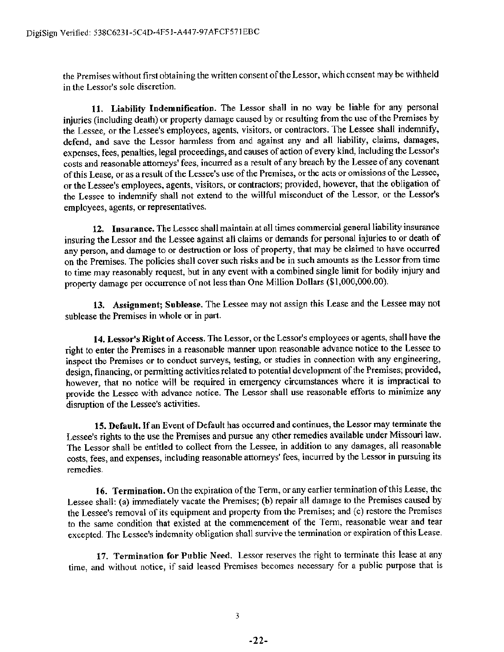the Premises without first obtaining the written consent of the Lessor, which consent may be withheld in the Lessor's sole discretion.

11. Liability Indemnification. The Lessor shall in no way be liable for any personal injuries (including death) or property damage caused by or resulting from the use of the Premises by the Lessee, or the Lessee's employees, agents, visitors, or contractors. The Lessee shall indemnify, defend, and save the Lessor harmless from and against any and all liability, claims, damages, expenses, fees, penalties, legal proceedings, and causes of action of every kind, including the Lessor's costs and reasonable attorneys' fees, incurred as a result of any breach by the Lessee of any covenant of this Lease, or as a result of the Lessee's use of the Premises, or the acts or omissions of the Lessee, or the Lessee's employees, agents, visitors, or contractors; provided, however, that the obligation of the Lessee to indemnify shall not extend to the willful misconduct of the Lessor, or the Lessor's employees, agents, or representatives.

12. Insurance. The Lessee shall maintain at all times commercial general liability insurance insuring the Lessor and the Lessee against all claims or demands for personal injuries to or death of any person, and damage to or destruction or loss of property, that may be claimed to have occurred on the Premises. The policies shall cover such risks and be in such amounts as the Lessor from time to time may reasonably request, but in any event with a combined single limit for bodily injury and property damage per occurrence of not less than One Million Dollars (\$1, 000, 000. 00).

13. Assignment; Sublease. The Lessee may not assign this Lease and the Lessee may not sublease the Premises in whole or in part.

14. Lessor's Right of Access. The Lessor, or the Lessor's employees or agents, shall have the right to enter the Premises in a reasonable manner upon reasonable advance notice to the Lessee to inspect the Premises or to conduct surveys, testing, or studies in connection with any engineering, design, financing, or permitting activities related to potential development of the Premises; provided, however, that no notice will be required in emergency circumstances where it is impractical to provide the Lessee with advance notice. The Lessor shall use reasonable efforts to minimize any disruption of the Lessee's activities.

15. Default. If an Event of Default has occurred and continues, the Lessor may terminate the Lessee's rights to the use the Premises and pursue any other remedies available under Missouri law. The Lessor shall be entitled to collect from the Lessee, in addition to any damages, all reasonable costs, fees, and expenses, including reasonable attorneys' fees, incurred by the Lessor in pursuing its remedies.

16. Termination. On the expiration of the Term, or any earlier termination of this Lease, the Lessee shall: (a) immediately vacate the Premises; (b) repair all damage to the Premises caused by the Lessee's removal of its equipment and property from the Premises; and (c) restore the Premises to the same condition that existed at the commencement of the Term, reasonable wear and tear excepted. The Lessee's indemnity obligation shall survive the termination or expiration of this Lease.

17. Termination for Public Need. Lessor reserves the right to terminate this lease at any time, and without notice, if said leased Premises becomes necessary for a public purpose that is

3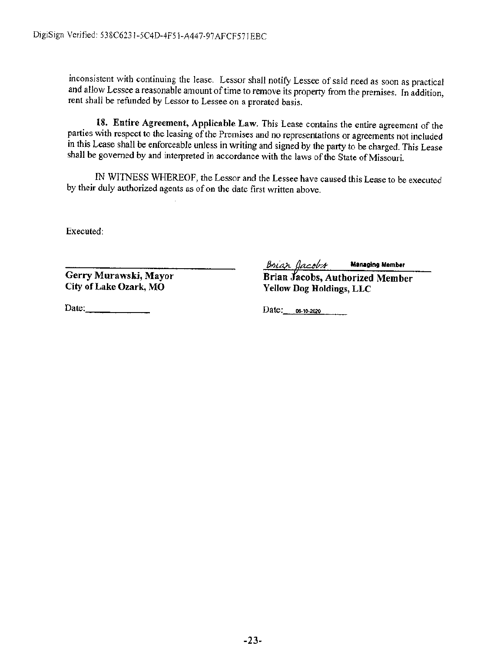inconsistent with continuing the lease. Lessor shall notify Lessee of said need as soon as practical and allow Lessee a reasonable amount of time to remove its property from the premises. In addition, rent shall be refunded by Lessor to Lessee on a prorated basis.

18. Entire Agreement, Applicable Law. This Lease contains the entire agreement of the parties with respect to the leasing of the Premises and no representations or agreements not included in this Lease shall be enforceable unless in writing and signed by the party to be charged. This Lease shall be governed by and interpreted in accordance with the laws of the State of Missouri.

IN WITNESS WHEREOF, the Lessor and the Lessee have caused this Lease to be executed by their duly authorized agents as of on the date first written above.

Executed:

Gerry Murawski, Mayor City of Lake Ozark, MO

 $\beta$ *Niah*  $\beta$ *acobs* Managing Member

Brian Jacobs, Authorized Member Yellow Dog Holdings, LLC

Date:  $\qquad \qquad$ 

Date: 08-10-2020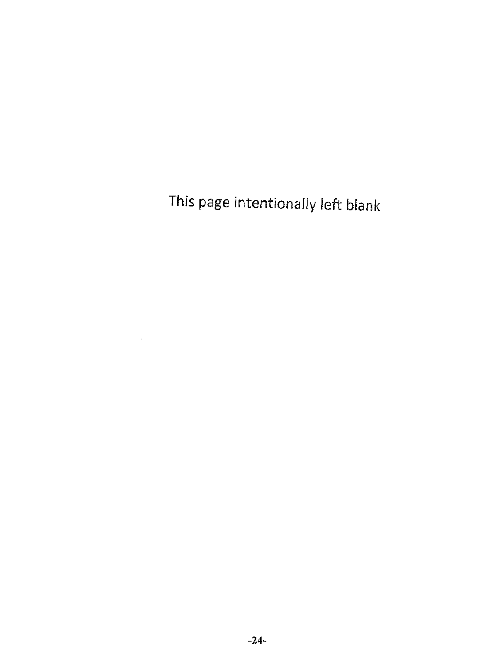This page intentionally left blank

 $\hat{\mathcal{F}}$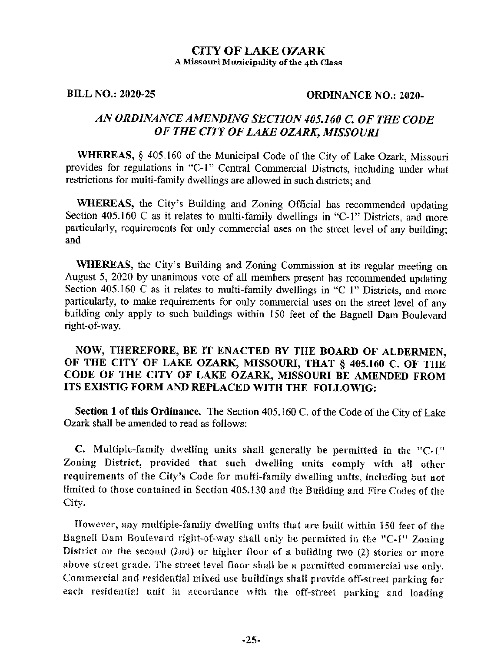# CITY OF LAKE A Missouri Municipality of the 4th Class

# BILL NO.: 2020-25 **ORDINANCE NO.: 2020-**

# AN ORDINANCE AMENDING SECTION 405. 160 C. OF THE CODE OF THE CITY OF LAKE OZARK, MISSOURI

WHEREAS, § 405. 160 of the Municipal Code of the City of Lake Ozark, Missouri provides for regulations in "C-1" Central Commercial Districts, including under what restrictions for multi-family dwellings are allowed in such districts; and

WHEREAS, the City's Building and Zoning Official has recommended updating Section 405.160 C as it relates to multi-family dwellings in "C-1" Districts, and more particularly, requirements for only commercial uses on the street level of any building; and

WHEREAS, the City's Building and Zoning Commission at its regular meeting on August 5, 2020 by unanimous vote of all members present has recommended updating Section 405. 160 C as it relates to multi-family dwellings in "C-l" Districts, and more particularly, to make requirements for only commercial uses on the street level of any building only apply to such buildings within 150 feet of the Bagnell Dam Boulevard right-of-way.

# NOW, THEREFORE, BE IT ENACTED BY THE BOARD OF ALDERMEN, OF THE CITY OF LAKE OZARK, MISSOURI, THAT § 405.160 C. OF THE CODE OF THE CITY OF LAKE OZARK, MISSOUM BE AMENDED FROM ITS EXISTIG FORM AND REPLACED WITH THE FOLLOWIG:

Section 1 of this Ordinance. The Section 405. 160 C. of the Code of the City of Lake Ozark shall be amended to read as follows:

C. Multiple-family dwelling units shall generally be permitted in the "C-1" Zoning District; provided that such dwelling units comply with all other requirements of the City's Code for multi-family dwelling units, including but aot limited to those contained in Section 405. 130 and the Building and Fire Codes of the City.

However, any multiple-family dwelling units that are built within 150 feet of the Bagnell Dam Boulevard right-of-way shall only be permitted in the "C-1" Zoning District on the second (2nd) or higher floor of a building two (2) stories or more above street grade. The street level floor shall be a permitted commercial use only. Commercial and residential mixed use buildings shall provide off-street parking for each residential unit in accordance with the off-street parking and loading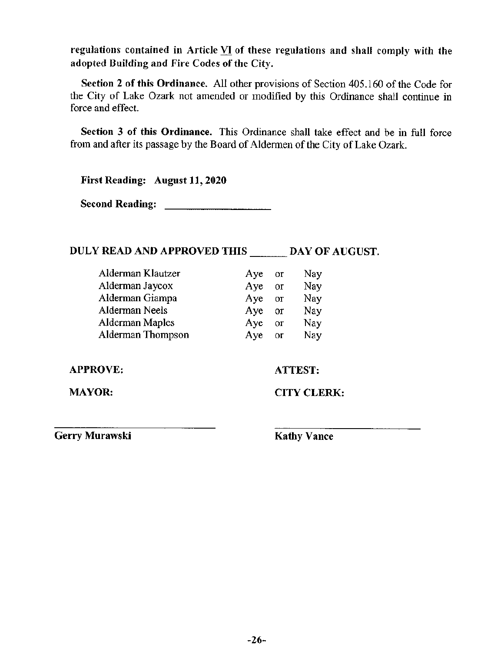regulations contained in Article VI of these regulations and shall comply with the adopted Building and Fire Codes of the City.

Section 2 of this Ordinance. All other provisions of Section 405. 160 of the Code for the City of Lake Ozark not amended or modified by this Ordinance shall continue in force and effect.

Section 3 of this Ordinance. This Ordinance shall take effect and be in full force from and after its passage by the Board of Aldermen of the City of Lake Ozark.

First Reading: August 11, 2020

Second Reading:

| DULY READ AND APPROVED THIS | DAY OF AUGUST. |
|-----------------------------|----------------|
|-----------------------------|----------------|

| Alderman Klautzer | Aye | or        | Nay |
|-------------------|-----|-----------|-----|
| Alderman Jaycox   | Aye | <b>or</b> | Nay |
| Alderman Giampa   | Aye | or        | Nay |
| Alderman Neels    | Ave | or        | Nay |
| Alderman Maples   | Aye | <b>OF</b> | Nay |
| Alderman Thompson | Aye | Оr        | Nay |

APPROVE:

ATTEST:

MAYOR:

CITY CLERK:

Gerry Murawski Kathy Vance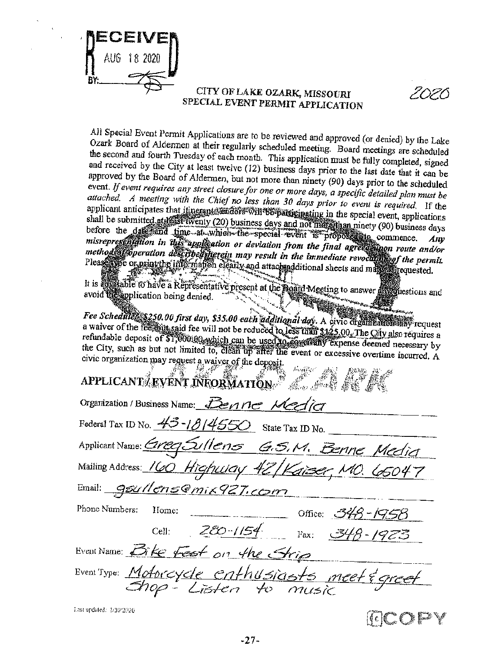

# CITY OF LAKE OZARK, MISSOURI SPECIAL EVENT PERMIT APPLICATION

All Special Event Permit Applications are to be reviewed and approved (or denied) by the Lake Ozark Board of Aldermen at their regularly scheduled meeting. Board meetings are scheduled the second and fourth Tuesday of each month. This application must be fully completed, signed and received by the City at least twelve (12) business days prior to the last date that it can be approved by the Board of Aldermen, but not more than ninety (90) days prior to the scheduled event. If event requires any street closure for one or more days, a specific detailed plan must be attached. A meeting with the Chief no less than 30 days prior to event is required. If the applicant anticipates that itinerant vendors will be participating in the special event, applications shall be submitted at least twenty (20) business days and not marginan minety (90) business days before the date and time at which the special event is proposed at commence. misrepresentation in this application or deviation from the final agreeatingon route and/or methoded soperation described fiergin may result in the immediate revocation of the permit. Please the or print the information elearly and attachtadditional sheets and managemented.

asable to have a Representative present at the poard Meeting to answer any guestions and It is a avoid die application being denied.

Fee Schedule \$250.00 first day, \$35.00 each additional day. A civic digameanous request a waiver of the feeling said fee will not be reduced to less than \$125,00. The City also requires a refundable deposit of \$1,00000 which can be used to constitute experience deemed necessary by the City, such as but not limited to, clean up after the event or excessive overtime incurred. A civic organization may request a waiver of the deposit.

# APPLICANT LEVENT INFORMATION

| Organization / Business Name: Denne Media          |
|----------------------------------------------------|
| Federal Tax ID No. $43 - 1814550$ State Tax ID No. |
| Applicant Name: Greeg Sullens G.S.M. Benne Media   |
| Mailing Address: 160 Highway 42/Kaizer, MO. 66047  |
| Email: gaullens@mix927.com                         |
| Phone Numbers: Home:<br>Office: 348-1958           |
| Cell: $280 - 1154$ Fax: $348 - 1923$               |
| Event Name: Bike Feest on the Strip                |
| Event Type: Motorcycle enthusiasts meet & great    |

Last updated: 1/30/2020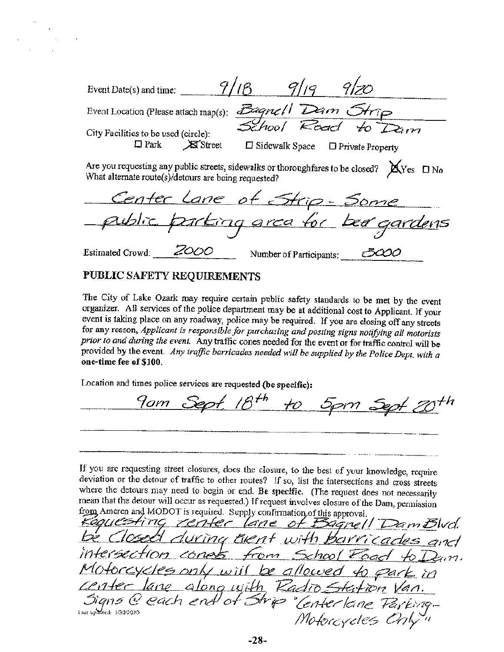| Event Date(s) and time:                                                                                                                                            | 9/18                  | 9/19 | 9170                    |  |
|--------------------------------------------------------------------------------------------------------------------------------------------------------------------|-----------------------|------|-------------------------|--|
| Event Location (Please attach map(s):                                                                                                                              | Bagnell Dam Strip     |      |                         |  |
| City Facilities to be used (circle):                                                                                                                               | School Road to Dun    |      |                         |  |
| $\mathbf{X}$ Street<br>$\Box$ Park                                                                                                                                 | $\Box$ Sidewalk Space |      | $\Box$ Private Property |  |
| Are you requesting any public streets, sidewalks or thoroughfares to be closed? $\mathbf{X}$ Yes $\Box$ No<br>What alternate route(s)/detours are being requested? |                       |      |                         |  |

Center Lane of Strip - Some rarking arca for bed gardens Estimated Crowd: <u>2000</u> Number of Participants; 3000

# PUBLIC SAFETY REQUIREMENTS

The City of Lake Ozark may require certain public safety standards to be met by the event organizer. All services of the police department may be at additional cost to Applicant. If your event is taking place on any roadway, police may be required. If you are closing off any streets for any reason. Applicant is responsible for purchasing and posting signs notifying all motorists prior to and during the event. Any traffic cones needed for the event or for traffic control will be provided by the event. Any traffic barricades needed will be supplied by the Police Dept. with a one-time fee of \$100.

Location and times police services are requested (be specific).

imes police services are requested (be specific):<br>*Horn* Sept. 18<sup>+h</sup> +0 5 pm Sept. 20<sup>+</sup> If you are requesting street closures, does the closure, to the best of your knowledge, require deviation or the detour of traffic to other routes? If so, list the intersections and cross streets where the detours may need to begin or end. Be specific. (The request does not necessarily mean that the detour will occur as requested.) If request involves closure of the Dam, permission from Ameren and MODOT is required. Supply confirmation of this approval. from Ameren and MODOT is required. Supply confirmation of this approval.<br>Kequestions of the contract of Esigne (1 Dam Blvd. Keguesting zenter lane of Bigrell DamBlvd.<br>be Closed during tient with barricades and be Closed during arent with barricades and<br>intersection cones from School Poad to Dam. Motorcycles only will be allowed to park in  $\epsilon$ enter lane along with Radio Station Van.  $\mathcal{S}$ igns  $C$  each end of Strip "Centerlane Parking-<br>Motorcycles Only "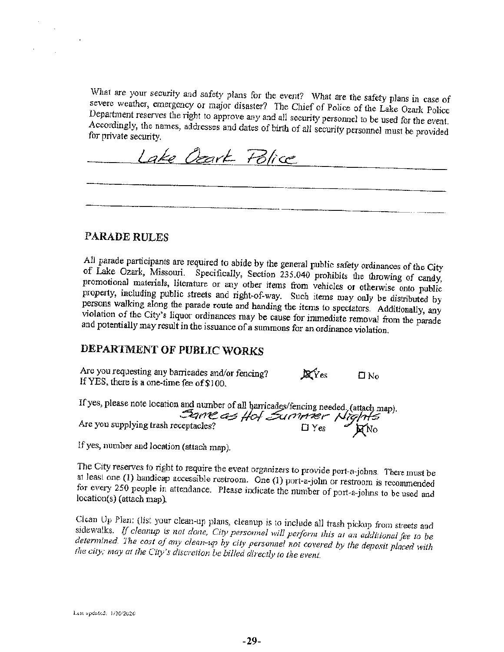What are your security and safety plans for the event? What are the safety plans in case of severe weather, emergency or major disaster? The Chief of Police of the Lake Ozark Police Department reserves the right to approve any and all security personnel to be used for the event. Accordingly, the names, addresses and dates of birth of all security personnel must be provided for private security.

Lake Ozark Police

# PARADE RULES

All parade participants are required to abide by the general public safety ordinances of the City of Lake Ozark, Missouri. Specifically, Section 235.040 prohibits the throwing of candy, promotional materials, literature or any other items from vehicles or otherwise onto public property, including public streets and right-of-way. Such items may only be distributed by persons walking along the parade route and handing the items to spectators. Additionally, any violation of the City's liquor ordinances may be cause for immediate removal from the parade and potentially may result in the issuance of a summons for an ordinance violation.

# DEPARTMENT OF PUBLIC WORKS

Are you requesting any barricades and/or fencing?  $\mathbb{X}$  Yes  $\square$  No If YES, there is a one-time fee of \$100.

| Are you supplying trash receptacles? | $Z_{\rm XNe}$<br>$\Box$ Yes |
|--------------------------------------|-----------------------------|

If yes, number and location (attach map).

The City reserves to right to require the event organizers to provide port-a-johns. There must be at least one (1) handicap accessible restroom. One (1) port-a-john or restroom is recommended for every 250 people in attendance. Please indicate the number of port-a-johns to be used and location(s) (attach map).

Clean Up Plan; (list your clean-up plans, cleanup is to include all trash pickup from streets and sidewalks. If cleanup is not done, City personnel will perform this at an additional fee to be determined. The cost of any clean-up by city personnel not covered by the deposit placed with the city; may at the City's discretion be billed directly to the event.

Last updated: 1/30/2020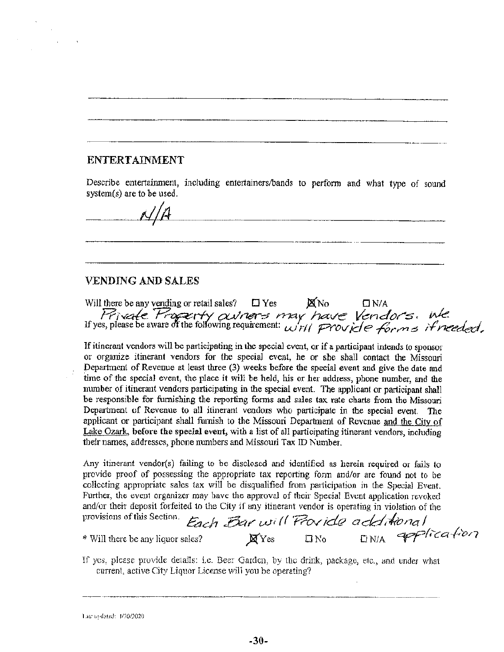# ENTERTAINMENT

Describe entertainmenl, including entertainers/bands to perform and what type of sound system(s) are to be used.

 $\frac{1}{2}$ <br>ertainmer<br>to be use<br> $\frac{1}{4}$ 

# VENDING AND SALES

Will there be any vending or retail sales?  $\square$  Yes  $\blacksquare$  NNO  $\square$  N/A<br>*Fixete Fragerty counters may have Vendors.* inte If yes, please be aware of the following requirement:  $\mu$ / $\mu$ /  $\mu$ Provicle forms if needed.

<u> 1990 - Jan Barnett, amerikan basal dan berasal di sebagai dan basal dan basal dan basal dan basal dan basal d</u>

If itinerant vendors will be participating in the special event, or if a participant mtends to sponsor or organize itinerant vendors for the special event, he or she shall contact the Missouri Department of Revenue at least three (3) weeks before the special event and give the date and time of the special event, the place it will be held, his or her address, phone number, and the number of itinerant vendors participating in die special event. The applicant or participant shall be responsible for furnishing the reporting forms and sales tax rate charts from the Missouri Department of Revenue to all itinerant vendors who participate in the special event. applicant or participant shall furnish to the Missouri Department of Revenue and the City of Lake Ozark, before the special event, with a list of all participating itinerant vendors, including their names, addresses, phone numbers and Missouri Tax ID Number.

Any itinerant vendor(s) failing to be disclosed and identified as herein required or fails to provide proof of possessing the appropriate tax reporting form and/or are found not to be collecting appropriate sales tax will be diyqualified from participation in the Special Event. Further, the event organizer may have the approval of their Special Event application revoked and/or their deposit forfeited to the City if any itinerant vendor is operating in violation of the provisions of this Section.<br>  $E_{A}$   $\tilde{B}_{A}$   $\tilde{C}_{A}$   $\tilde{C}_{A}$   $\tilde{C}_{A}$   $\tilde{C}_{A}$   $\tilde{C}_{A}$   $\tilde{C}_{A}$   $\tilde{C}_{A$ 

\* Will there be any liquor sales?  $\boxtimes$  Yes  $\square$  No  $\square$  N/A  $\blacktriangleleft$ 

If yes, please provide details: i.e. Beer Garden, by the drink, package, etc., and under what current, active City Liquor License wili you be operating?

Las' updalcd: 1/30/2020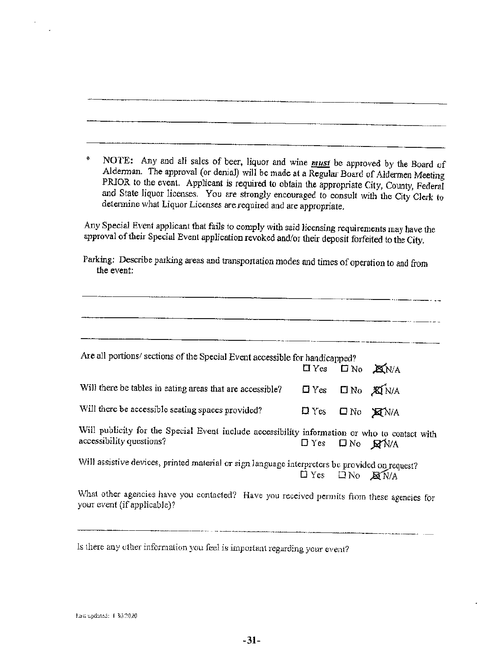|            |              | NOTE: Any and all sales of beer, liquor and wine must be approved by the Board of<br>Alderman. The approval (or denial) will be made at a Regular Board of Aldermen Meeting<br>PRIOR to the event. Applicant is required to obtain the appropriate City, County, Federal<br>and State liquor licenses. You are strongly encouraged to consult with the City Clerk to                                                                                                                                                                                                                                                                                                                                                  |
|------------|--------------|-----------------------------------------------------------------------------------------------------------------------------------------------------------------------------------------------------------------------------------------------------------------------------------------------------------------------------------------------------------------------------------------------------------------------------------------------------------------------------------------------------------------------------------------------------------------------------------------------------------------------------------------------------------------------------------------------------------------------|
|            |              |                                                                                                                                                                                                                                                                                                                                                                                                                                                                                                                                                                                                                                                                                                                       |
|            |              |                                                                                                                                                                                                                                                                                                                                                                                                                                                                                                                                                                                                                                                                                                                       |
|            |              |                                                                                                                                                                                                                                                                                                                                                                                                                                                                                                                                                                                                                                                                                                                       |
|            |              |                                                                                                                                                                                                                                                                                                                                                                                                                                                                                                                                                                                                                                                                                                                       |
|            |              |                                                                                                                                                                                                                                                                                                                                                                                                                                                                                                                                                                                                                                                                                                                       |
|            |              |                                                                                                                                                                                                                                                                                                                                                                                                                                                                                                                                                                                                                                                                                                                       |
|            | $\square$ No | XN/A                                                                                                                                                                                                                                                                                                                                                                                                                                                                                                                                                                                                                                                                                                                  |
|            |              |                                                                                                                                                                                                                                                                                                                                                                                                                                                                                                                                                                                                                                                                                                                       |
| $D$ Yes    | $\Box$ No    | <b>X</b> INA                                                                                                                                                                                                                                                                                                                                                                                                                                                                                                                                                                                                                                                                                                          |
| $\Box$ Yes |              | DNo RYMA                                                                                                                                                                                                                                                                                                                                                                                                                                                                                                                                                                                                                                                                                                              |
|            |              |                                                                                                                                                                                                                                                                                                                                                                                                                                                                                                                                                                                                                                                                                                                       |
| $\Box$ Yes |              | DNo KN/A                                                                                                                                                                                                                                                                                                                                                                                                                                                                                                                                                                                                                                                                                                              |
|            |              | determine what Liquor Licenses are required and are appropriate.<br>Any Special Event applicant that fails to comply with said licensing requirements may have the<br>approval of their Special Event application revoked and/or their deposit forfeited to the City.<br>Parking: Describe parking areas and transportation modes and times of operation to and from<br>Are all portions/ sections of the Special Event accessible for handicapped?<br>$\Box$ Yes<br>$\Box$ Yes $\Box$ No $\mathbb{X}\Omega_{N/A}$<br>Will publicity for the Special Event include accessibility information or who to contact with<br>Will assistive devices, printed material or sign language interpreters be provided on request? |

Is there any other information you feel is important regarding your event?

i<br>Serika di Salah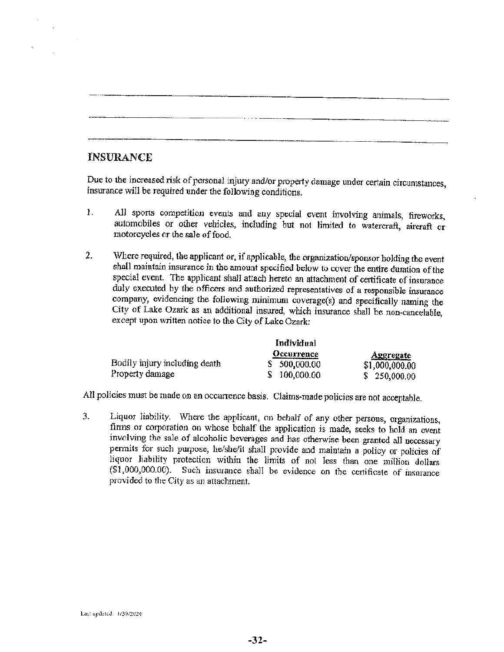# INSURANCE

Due to the increased risk of personal injury and/or property damage under certain circumstances. insurance will be required under the following conditions.

- 1. All sports competitiou events and any special event involving animals, fireworks, automobiles or other vehicles, including but not limited to watercraft, aircraft or motorcycles or the sale of food.
- 2. Where required, the applicant or, if applicable, the organization/sponsor holding the event shall maintain insurance in the amount specified below to cover the entire duration of the special event. The applicant shall attach hereto an attachment of certificate of insurance duly executed by the officers and authorized representatives of a responsible insurance company, evidencing the following minimum coverage(s) and specifically naming the City of Lake Ozark as an additional insured, which insurance shall be non-cancdable. except upon written notice to the City of Lake Ozark;

|                               | Individual        |                  |
|-------------------------------|-------------------|------------------|
|                               | <b>Occurrence</b> | <b>Aggregate</b> |
| Bodily injury including death | \$500,000.00      | \$1,000,000.00   |
| Property damage               | \$100,000.00      | \$250,000.00     |

All policies must be made on an occurrence basis. Claims-made policies are not acceptable.

3. Liquor liability. Where the applicant, on behalf of any other persons, organizations, firms or corporation on whose behalf the application is made, seeks to hold an event involving the sale of alcoholic beverages and has otherwise been granted all necessary permits for such purpose, he/she/it sliall provide and maintain a policy or policies of liquor liability protection within the limits of not less than one million dollars  $($1,000,000.00)$ . Such insurance shall be evidence on the certificate of insurance provided to the City as an attachment.

Las' iipdalcj 1/30/2020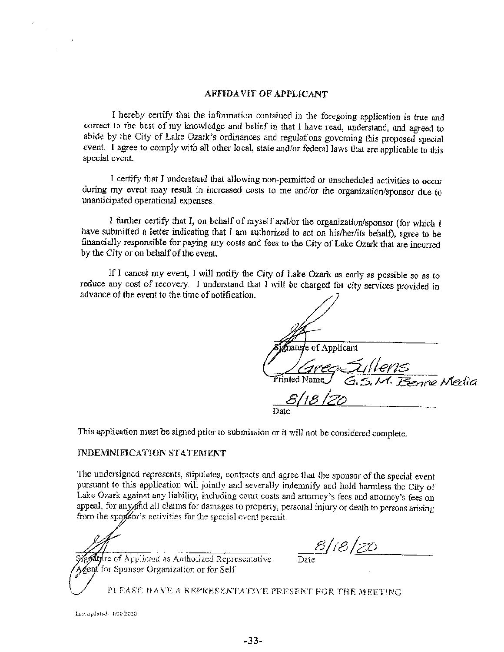## AFFIDAVIT OF APPLICANT

I hereby certify that the information contained in the foregoing application is tme and correct to the best of my knowledge and belief in that I have read, understand, and agreed to abide by the City of Lake Ozark's ordmances and regulations governing this proposed special event. I agree to comply with all other local, state and/or federal laws that are applicable to this special event.

I certify that I understand that allowing non-pennittcd or uascheduled activities to occur during my event may result in increased costs to me and/or the organization/sponsor due to unanticipated operational expenses.

I further certify that I, on behalf of myself and/or the organization/sponsor (for which I have submitted a letter indicating that I am authorized to act on his/her/its behalf), agree to be financially responsible for paying any costs md fees to the City of Lake Ozark that are incuired by the City or on behalf of the event.

If I cancel my event, I will notify fhe City of Lake Ozark as early as possible so as to reduce any cost of recovery. I understand that I will be charged for city services provided in advance of the event to the time of notification.

hature of Applicant Greg Sillens Frinted Name G.S.M. Benne Medic  $8/18$  . Date

This application must be signed prior to submission or it will not be considered compiete.

## INDEMNIFICATION STATEMENT

The undersigned represents, stipulates, contracts and agree that the sponsor of the special event pursuant to this application will jointly and severally indemnify and hold harmless the City of Lake Ozark against any liability, induding court costs and attorney's fees and attorney's fees on appeal, for any and all claims for damages to property, personal injury or death to persons arising from the sponkor's activities for the special event pennit.

dipre of Applicant as Authorized Representative gent for Sponsor Organization or for Self

8/18/20 Date

PLEASR HAVE A REPRESENTA'HVE PRESENT FOR THE MEETING

Last updated. 1/20/2020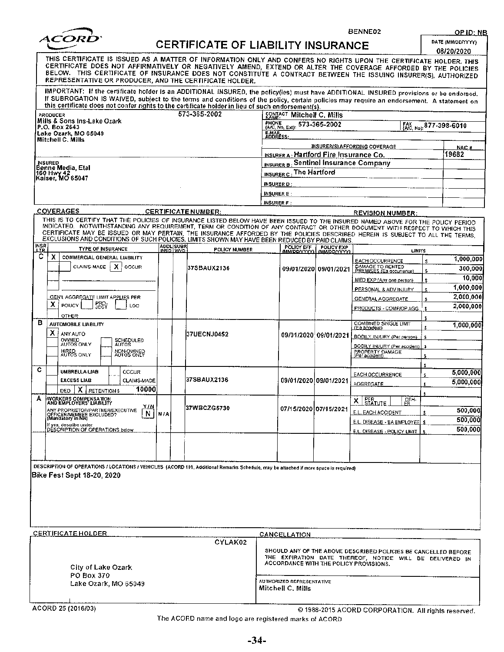|             |                                                                                                                                                                                                                                                                                                                                                                                                                                                                                                                         |     |                         |                                           |                                        |                           |                                               | <b>BENNE02</b>                                                 |                | OP ID: NB                       |
|-------------|-------------------------------------------------------------------------------------------------------------------------------------------------------------------------------------------------------------------------------------------------------------------------------------------------------------------------------------------------------------------------------------------------------------------------------------------------------------------------------------------------------------------------|-----|-------------------------|-------------------------------------------|----------------------------------------|---------------------------|-----------------------------------------------|----------------------------------------------------------------|----------------|---------------------------------|
|             | ACOR.                                                                                                                                                                                                                                                                                                                                                                                                                                                                                                                   |     |                         | <b>CERTIFICATE OF LIABILITY INSURANCE</b> |                                        |                           |                                               |                                                                |                | DATE (MM/DD/YYYY)<br>08/20/2020 |
|             | THIS CERTIFICATE IS ISSUED AS A MATTER OF INFORMATION ONLY AND CONFERS NO RIGHTS UPON THE CERTIFICATE HOLDER. THIS<br>CERTIFICATE DOES NOT AFFIRMATIVELY OR NEGATIVELY AMEND, EXTEND OR ALTER THE COVERAGE AFFORDED BY THE POLICIES<br>BELOW. THIS CERTIFICATE OF INSURANCE DOES NOT CONSTITUTE A CONTRACT BETWEEN THE ISSUING INSURER(S), AUTHORIZED<br>REPRESENTATIVE OR PRODUCER, AND THE CERTIFICATE HOLDER.                                                                                                        |     |                         |                                           |                                        |                           |                                               |                                                                |                |                                 |
|             | IMPORTANT: If the certificate holder is an ADDITIONAL INSURED, the policy(les) must have ADDITIONAL INSURED provisions or be endorsed.<br>If SUBROGATION IS WAIVED, subject to the terms and conditions of the policy, certain policies may require an endorsement. A statement on<br>this certificate does not confer rights to the certificate holder in lieu of such endorsement(s).                                                                                                                                 |     |                         |                                           |                                        |                           |                                               |                                                                |                |                                 |
|             | PRODUCER                                                                                                                                                                                                                                                                                                                                                                                                                                                                                                                |     |                         | 573-365-2002                              |                                        | CONTACT Mitchell C. Mills |                                               |                                                                |                |                                 |
|             | Mills & Sons Ins-Lake Ozark<br>P.O. Box 2643                                                                                                                                                                                                                                                                                                                                                                                                                                                                            |     |                         |                                           |                                        | PHONE<br>(A/C, No, Ext):  | 573-365-2002                                  | FAX<br>{A/C, No);                                              |                | 877-398-6010                    |
|             | Lake Ozark, MO 65049<br>Mitchell C. Mills                                                                                                                                                                                                                                                                                                                                                                                                                                                                               |     |                         |                                           | <b>ENAIL</b>                           |                           |                                               |                                                                |                |                                 |
|             |                                                                                                                                                                                                                                                                                                                                                                                                                                                                                                                         |     |                         |                                           |                                        |                           |                                               | <b>INSURER(S) AFFORDING COVERAGE</b>                           |                | <b>NAIC#</b>                    |
|             |                                                                                                                                                                                                                                                                                                                                                                                                                                                                                                                         |     |                         |                                           |                                        |                           | <b>INSURER A: Hartford Fire Insurance Co.</b> |                                                                |                | 19682                           |
|             | <b>INSURED</b><br>Benne Media, Etal                                                                                                                                                                                                                                                                                                                                                                                                                                                                                     |     |                         |                                           |                                        |                           |                                               | INSURER B: Sentinel Insurance Company                          |                |                                 |
|             | 160 Hwy 42<br>Kaiser, MO 65047                                                                                                                                                                                                                                                                                                                                                                                                                                                                                          |     |                         |                                           |                                        | INSURER C . The Hartford  |                                               |                                                                |                |                                 |
|             |                                                                                                                                                                                                                                                                                                                                                                                                                                                                                                                         |     |                         |                                           | <b>INSURER D:</b>                      |                           |                                               |                                                                |                |                                 |
|             |                                                                                                                                                                                                                                                                                                                                                                                                                                                                                                                         |     |                         |                                           | <b>INSURER E:</b><br><b>INSURER F:</b> |                           |                                               |                                                                |                |                                 |
|             | <b>COVERAGES</b>                                                                                                                                                                                                                                                                                                                                                                                                                                                                                                        |     |                         | CERTIFICATE NUMBER:                       |                                        |                           |                                               | <b>REVISION NUMBER:</b>                                        |                |                                 |
| INSR<br>LIB | THIS IS TO CERTIFY THAT THE POLICIES OF INSURANCE LISTED BELOW HAVE BEEN ISSUED TO THE INSURED NAMED ABOVE FOR THE POLICY PERIOD<br>INDICATED. NOTWITHSTANDING ANY REQUIREMENT, TERM OR CONDITION OF ANY CONTRACT OR OTHER DOCUMENT WITH RESPECT TO WHICH THIS<br>CERTIFICATE MAY BE ISSUED OR MAY PERTAIN. THE INSURANCE AFFORDED BY THE POLICIES DESCRIBED HEREIN IS SUBJECT TO ALL THE TERMS.<br>EXCLUSIONS AND CONDITIONS OF SUCH POLICIES. LIMITS SHOWN MAY HAVE BEEN REDUCED BY PAID CLAIMS.<br>TYPE OF INSURANCE |     | ADDL SUBR<br>INSD I WVD | <b>POLICY NUMBER</b>                      |                                        | POLICY EFF                | <b>POLICY EXP</b>                             |                                                                |                |                                 |
| с           | х<br>COMMERCIAL GENERAL LIABILITY                                                                                                                                                                                                                                                                                                                                                                                                                                                                                       |     |                         |                                           |                                        | <b>INM/DDAYYYY</b>        | (MM/DDAYYY)                                   |                                                                | <b>LIMIT'S</b> | 1,000,000                       |
|             | CLAIMS-MADE $\mathbf{X}$ occur                                                                                                                                                                                                                                                                                                                                                                                                                                                                                          |     |                         | <b>37SBAUX2136</b>                        |                                        |                           |                                               | <b>EACH OCCURRENCE</b><br>DAMAGE TO RENTED                     | s<br>Ŝ         | 300,000                         |
|             |                                                                                                                                                                                                                                                                                                                                                                                                                                                                                                                         |     |                         |                                           |                                        |                           |                                               | MED EXP (Any one person)                                       | s.             | 10,000                          |
|             |                                                                                                                                                                                                                                                                                                                                                                                                                                                                                                                         |     |                         |                                           |                                        |                           |                                               | PERSONAL & ADV INJURY                                          | \$             | 1.000.000                       |
|             | GEN'L AGGREGATE LIMIT APPLIES PER                                                                                                                                                                                                                                                                                                                                                                                                                                                                                       |     |                         |                                           |                                        |                           |                                               | <b>GENERAL AGGREGATE</b>                                       | \$             | 2,000,000                       |
|             | <b>FRO</b><br>x<br><b>POLICY</b><br>LOC                                                                                                                                                                                                                                                                                                                                                                                                                                                                                 |     |                         |                                           |                                        |                           |                                               | PRODUCTS - COMP/OP AGG                                         | s              | 2,000,000                       |
| в           | OTHER:                                                                                                                                                                                                                                                                                                                                                                                                                                                                                                                  |     |                         |                                           |                                        |                           |                                               |                                                                |                |                                 |
|             | <b>AUTOMOBILE LIABILITY</b><br>Χi                                                                                                                                                                                                                                                                                                                                                                                                                                                                                       |     |                         |                                           |                                        |                           |                                               | <b>COMBINED SINGLE LIMIT</b><br>(Ea accident)                  | 5              | 1.000.000i                      |
|             | ANY AUTO<br>OWNED<br>AUTOS ONLY<br>SCHEDULED<br>AUTOS                                                                                                                                                                                                                                                                                                                                                                                                                                                                   |     |                         | 37UECNJ0452                               |                                        |                           | 09/01/2020 09/01/2021                         | BODILY INJURY (Per person)                                     | s              |                                 |
|             | <b>NON-OWNED</b><br><b>AUTOS ONLY</b>                                                                                                                                                                                                                                                                                                                                                                                                                                                                                   |     |                         |                                           |                                        |                           |                                               | <b>BODILY INJURY (Per accident)</b><br>PROPERTY DAMAGE         | 5              |                                 |
|             |                                                                                                                                                                                                                                                                                                                                                                                                                                                                                                                         |     |                         |                                           |                                        |                           |                                               |                                                                | 2              |                                 |
| с           | UMBRELLA LIAB<br><b>OCCUR</b>                                                                                                                                                                                                                                                                                                                                                                                                                                                                                           |     |                         |                                           |                                        |                           |                                               | EACH OCCURRENCE                                                | \$<br>s        | 5,000,000                       |
|             | <b>EXCESS LIAB</b><br><b>CLAIMS-MADE</b>                                                                                                                                                                                                                                                                                                                                                                                                                                                                                |     |                         | 37SBAUX2136                               |                                        |                           | 09/01/2020 09/01/2021                         | <b>AGGREGATE</b>                                               | \$             | 5,000,000                       |
|             | 10000<br>X<br>DED.<br>RETENTION \$                                                                                                                                                                                                                                                                                                                                                                                                                                                                                      |     |                         |                                           |                                        |                           |                                               |                                                                | \$             |                                 |
| А           | WORKERS COMPENSATION<br>AND EMPLOYERS' LIABILITY<br><u>Y/N</u>                                                                                                                                                                                                                                                                                                                                                                                                                                                          |     |                         |                                           |                                        |                           |                                               | OTH-<br>$X \perp_{\text{STATUTE}}^{\text{PER}}$                |                |                                 |
|             | ANY PROPRIÉTOR/PARTNER/EXECUTIVE<br>OFFICER/MEMBER EXCLUDED?<br>(Mandatory in NH)<br>N                                                                                                                                                                                                                                                                                                                                                                                                                                  | N/A |                         | 37WBCZG5730                               |                                        | 07/15/2020 07/15/2021     |                                               | E.L. EACH ACCIDENT                                             |                | 500,000                         |
|             | If yes, describe under                                                                                                                                                                                                                                                                                                                                                                                                                                                                                                  |     |                         |                                           |                                        |                           |                                               | E.L. DISEASE - EA EMPLOYEE   \$                                |                | 500,000                         |
|             | DESCRIPTION OF OPERATIONS below                                                                                                                                                                                                                                                                                                                                                                                                                                                                                         |     |                         |                                           |                                        |                           |                                               | E.L. DISEASE - POLICY LIMIT                                    |                | 500,000                         |
|             |                                                                                                                                                                                                                                                                                                                                                                                                                                                                                                                         |     |                         |                                           |                                        |                           |                                               |                                                                |                |                                 |
|             |                                                                                                                                                                                                                                                                                                                                                                                                                                                                                                                         |     |                         |                                           |                                        |                           |                                               |                                                                |                |                                 |
|             | DESCRIPTION OF OPERATIONS / LOCATIONS / VEHICLES (ACORD 101, Additional Remarks Schedule, may be attached if more space is required)                                                                                                                                                                                                                                                                                                                                                                                    |     |                         |                                           |                                        |                           |                                               |                                                                |                |                                 |
|             | Bike Fest Sept 18-20, 2020                                                                                                                                                                                                                                                                                                                                                                                                                                                                                              |     |                         |                                           |                                        |                           |                                               |                                                                |                |                                 |
|             |                                                                                                                                                                                                                                                                                                                                                                                                                                                                                                                         |     |                         |                                           |                                        |                           |                                               |                                                                |                |                                 |
|             |                                                                                                                                                                                                                                                                                                                                                                                                                                                                                                                         |     |                         |                                           |                                        |                           |                                               |                                                                |                |                                 |
|             |                                                                                                                                                                                                                                                                                                                                                                                                                                                                                                                         |     |                         |                                           |                                        |                           |                                               |                                                                |                |                                 |
|             |                                                                                                                                                                                                                                                                                                                                                                                                                                                                                                                         |     |                         |                                           |                                        |                           |                                               |                                                                |                |                                 |
|             |                                                                                                                                                                                                                                                                                                                                                                                                                                                                                                                         |     |                         |                                           |                                        |                           |                                               |                                                                |                |                                 |
|             | <b>CERTIFICATE HOLDER</b>                                                                                                                                                                                                                                                                                                                                                                                                                                                                                               |     |                         | CYLAK02                                   |                                        | <b>CANCELLATION</b>       |                                               |                                                                |                |                                 |
|             |                                                                                                                                                                                                                                                                                                                                                                                                                                                                                                                         |     |                         |                                           |                                        |                           |                                               | SHOULD ANY OF THE ABOVE DESCRIBED POLICIES BE CANCELLED BEFORE |                |                                 |
|             |                                                                                                                                                                                                                                                                                                                                                                                                                                                                                                                         |     |                         |                                           |                                        |                           |                                               | THE EXPIRATION DATE THEREOF, NOTICE WILL BE DELIVERED IN       |                |                                 |
|             | City of Lake Ozark                                                                                                                                                                                                                                                                                                                                                                                                                                                                                                      |     |                         |                                           |                                        |                           |                                               | ACCORDANCE WITH THE POLICY PROVISIONS.                         |                |                                 |
|             | PO Box 370                                                                                                                                                                                                                                                                                                                                                                                                                                                                                                              |     |                         |                                           |                                        | AUTHORIZED REPRESENTATIVE |                                               |                                                                |                |                                 |
|             | Lake Ozark, MO 65049                                                                                                                                                                                                                                                                                                                                                                                                                                                                                                    |     |                         |                                           |                                        | Mitchell C. Mills         |                                               |                                                                |                |                                 |

ACORD 25 (2016/03) © 1988-2015 ACORD CORPORATION. All rights reserved.

The ACORD name and logo are registered marks of ACORD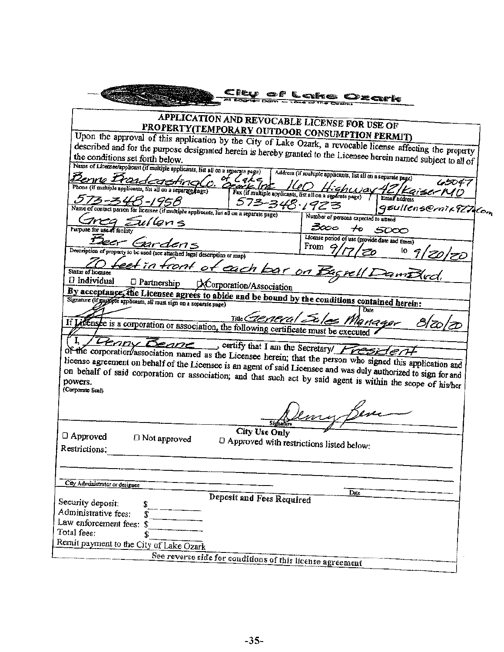| ${\bold C}$ feep<br><sup>p</sup> æerre                                                                                           |
|----------------------------------------------------------------------------------------------------------------------------------|
|                                                                                                                                  |
| APPLICATION AND REVOCABLE LICENSE FOR USE OF                                                                                     |
| PROPERTY(TEMPORARY OUTDOOR CONSUMPTION PERMIT)                                                                                   |
| Upon the approval of this application by the City of Lake Ozark, a revocable license affecting the property                      |
| described and for the purpose designated herein is hereby granted to the Licensee herein named subject to all of                 |
| Name of Licensee/applicant (if multiple applicants, list all on a separate page)                                                 |
| Address (if multiple applicants, list all on a separate page)<br>astino(p.<br>of Cake                                            |
| 45047<br>Phone (if multiple applicants, ilst all on a separate hage)<br>O Highway                                                |
| Fax (if multiple applicants, tist all on a separate page)<br>Email address<br>573-348-1958                                       |
| 573-348.1923<br>Name of contact person for licensee (if multiple applicants, itst all on a separate page)<br>geullens@mik9274Com |
| Number of persons expected to attend<br>rea Sullens                                                                              |
| మెంం<br>$\boldsymbol{\star}$<br>Purpose for use of facility<br>5000                                                              |
| License period of use (provide date and times)                                                                                   |
| From $\varphi$<br>Description of property to be used (see attached legal description or map)<br>to                               |
|                                                                                                                                  |
| <u>Fin front of each bar on Bagrel</u><br>Status of licensee                                                                     |
| $\Box$ Individual<br>$\Box$ Partnership<br><b>XCorporation/Association</b>                                                       |
| By acceptance, the Licensee agrees to abide and be bound by the conditions contained herein:                                     |
| Signature (if gmy pfe applicants, all must sign on a soparate page)<br>Date                                                      |
| me General Eules                                                                                                                 |
| If Licensee is a corporation or association, the following certificate must be executed<br>14 nager                              |
|                                                                                                                                  |
| $\frac{1}{\sqrt{2\pi}}$ certify that I am the Secretary/ $\sqrt{2\pi}$                                                           |
| of the corporation/association named as the Licensee herein; that the person who signed this application and                     |
| license agreement on behalf of the Licensee is an agent of said Licensee and was duly authorized to sign for and                 |
| on behalf of said corporation or association; and that such act by said agent is within the scope of his/her                     |
| (Corporate Scal)                                                                                                                 |
|                                                                                                                                  |
| emm Bene                                                                                                                         |
|                                                                                                                                  |
| City Use Only<br>□ Approved<br>D Not approved                                                                                    |
| D Approved with restrictions listed below:<br>Restrictions:                                                                      |
|                                                                                                                                  |
|                                                                                                                                  |
|                                                                                                                                  |
| City Administrator or designee<br>Date                                                                                           |
| Deposit and Fees Required<br>Security deposit:                                                                                   |
| Administrative fees:                                                                                                             |
| Law enforcement fees: \$                                                                                                         |
| Total fees:                                                                                                                      |
| Remit payment to the City of Lake Ozark                                                                                          |
|                                                                                                                                  |
| See reverse side for conditions of this license agreement                                                                        |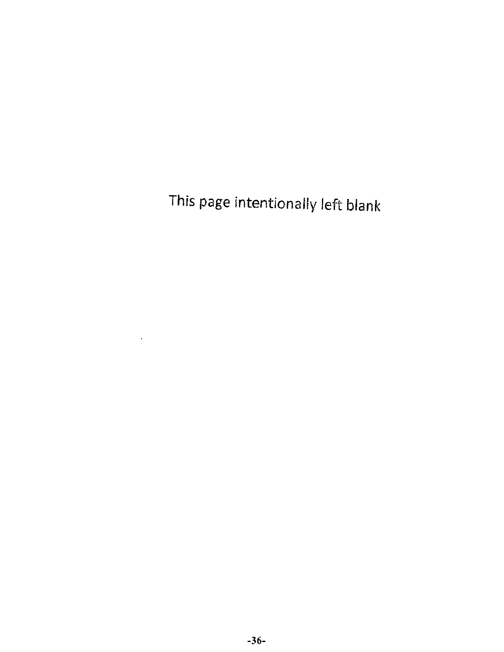This page intentionally left blank

 $\sim 10^7$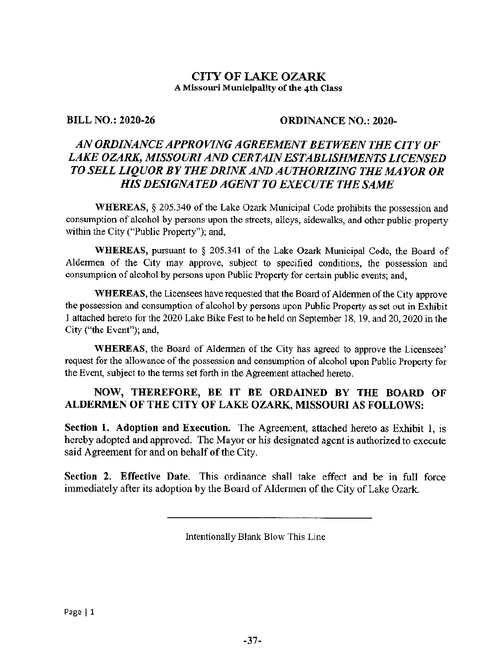# **CITY OF LAKE OZARK** A Missouri Municipality of the 4th Class

# BILL NO.: 2020-26 **ORDINANCE NO.: 2020-**

# AN ORDINANCE APPROVING AGREEMENT BETWEEN THE CITY OF LAKE OZARK, MISSOURI AND CERTAIN ESTABLISHMENTS LICENSED TO SELL LIQUOR BY THE DRINK AND AUTHORIZING THE MAYOR OR HIS DESIGNATED AGENT TO EXECUTE THE SAME

WHEREAS, § 205.340 of the Lake Ozark Municipal Code prohibits the possession and consumption of alcohol by persons upon the streets, alleys, sidewalks, and other public property within the City ("Public Property"); and,

WHEREAS, pursuant to § 205.341 of the Lake Ozark Municipal Code, the Board of Aldermen of the City may approve, subject to specified conditions, the possession and consumption of alcohol by persons upon Public Property for certain public events; and,

WHEREAS, the Licensees have requested that the Board of Aldermen of the City approve the possession and consumption of alcohol by persons upon Public Property as set out in Exhibit 1 attached hereto for the 2020 Lake Bike Fest to be held on September 18, 19, and 20, 2020 in the City ("the Event"); and,

WHEREAS, the Board of Aldermen of the City has agreed to approve the Licensees' request for the allowance of the possession and consumption of alcohol upon Public Property for the Event, subject to the terms set forth in the Agreement attached hereto.

# NOW, THEREFORE, BE IT BE ORDAINED BY THE BOARD OF ALDERMEN OF THE CITY OF LAKE OZARK, MISSOURI AS FOLLOWS:

Section 1. Adoption and Execution. The Agreement, attached hereto as Exhibit 1, is hereby adopted and approved. The Mayor or his designated agent is authorized to execute said Agreement for and on behalf of the City.

Section 2. Effective Date. This ordinance shall take effect and be in full force immediately after its adoption by the Board of Aldermen of the City of Lake Ozark.

Intentionally Blank Blow This Line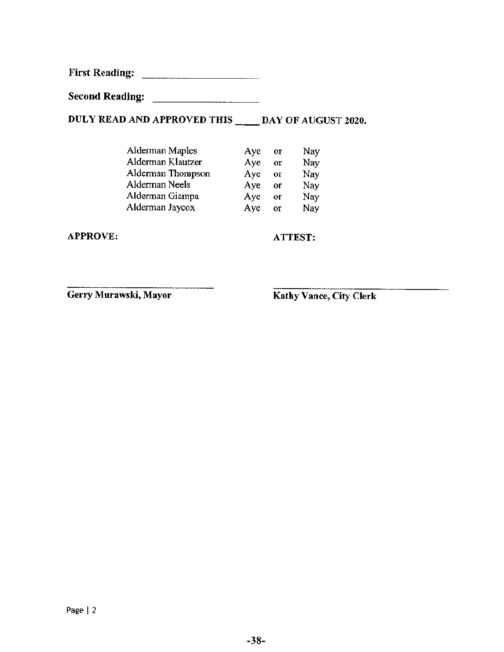First Reading:

Second Reading:

DULY READ AND APPROVED THIS \_\_\_\_\_ DAY OF AUGUST 2020.

| Alderman Maples   | Aye | or        | Nay |
|-------------------|-----|-----------|-----|
| Alderman Klautzer | Aye | <b>or</b> | Nay |
| Alderman Thompson | Aye | <b>OT</b> | Nay |
| Alderman Neels    | Aye | or        | Nay |
| Alderman Giampa   | Aye | <b>OT</b> | Nay |
| Alderman Jaycox   | Aye | or        | Nay |

APPROVE: ATTEST:

Gerry Murawski, Mayor Kathy Vance, City Clerk

<u>and the community</u>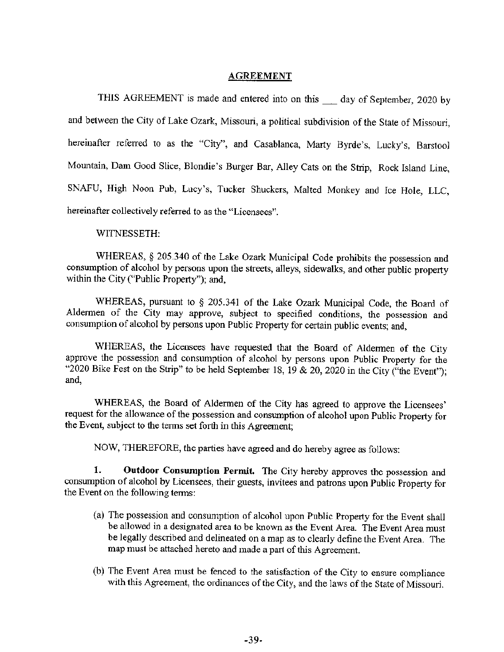## AGREEMENT

THIS AGREEMENT is made and entered into on this \_\_ day of September, 2020 by and between the City of Lake Ozark, Missouri, a political subdivision of the State of Missouri, hereinafter referred to as the "City", and Casablanca, Marty Byrde's, Lucky's, Barstool Mountain, Dam Good Slice, Blondie's Burger Bar, Alley Cats on the Strip, Rock Island Line, SNAFU, High Noon Pub, Lucy's, Tucker Shuckers, Malted Monkey and Ice Hole, LLC, hereinafter collectively referred to as the "Licensees".

WITNESSETH:

WHEREAS, § 205.340 of the Lake Ozark Municipal Code prohibits the possession and consumption of alcohol by persons upon the streets, alleys, sidewalks, and other public property within the City ("Public Property"); and,

WHEREAS, pursuant to § 205.341 of the Lake Ozark Municipal Code, the Board of Aldermen of the City may approve, subject to specified conditions, the possession and consumption of alcohol by persons upon Public Property for certain public events; and,

WHEREAS, the Licensees have requested that the Board of Aldermen of the City approve the possession and consumption of alcohol by persons upon Public Property for the "2020 Bike Fest on the Strip" to be held September 18, 19 & 20, 2020 in the City ("the Event"); and,

WHEREAS, the Board of Aldermen of the City has agreed to approve the Licensees' request for the allowance of the possession and consumption of alcohol upon Public Property for the Event, subject to the terms set forth in this Agreement;

NOW, THEREFORE, the parties have agreed and do hereby agree as follows:

1. Outdoor Consumption Permit. The City hereby approves the possession and consumption of alcohol by Licensees, their guests, invitees and patrons upon Public Property for the Event on the following terms:

- (a) The possession and consumption of alcohol upon Public Property for the Event shall be allowed in a designated area to be known as the Event Area. The Event Area must be legally described and delineated on a map as to clearly define the Event Area. The map must be attached hereto and made a part of this Agreement.
- (b) The Event Area must be fenced to the satisfaction of the City to ensure compliance with this Agreement, the ordinances of the City, and the laws of the State of Missouri.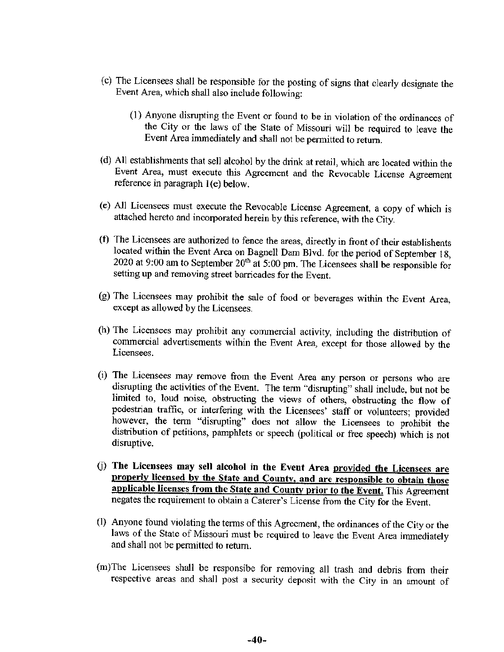- (c) The Licensees shall be responsible for the posting of signs that clearly designate the Event Area, which shall also include following:
	- (1) Anyone disrupting the Event or found to be in violation of the ordinances of the City or the laws of the State of Missouri will be required to leave the Event Area immediately and shall not be permitted to return.
- (d) All establishments that sell alcohol by the drink at retail, which are located within the Event Area, must execute this Agreement and the Revocable License Agreement reference in paragraph l(e) below.
- (e) All Licensees must execute the Revocable License Agreement, a copy of which is attached hereto and incorporated herein by this reference, with the City.
- (f) The Licensees are authorized to fence the areas, directly in front of their establishents located within the Event Area on Bagnell Dam Blvd. for the period of September 18, 2020 at 9:00 am to September 20<sup>th</sup> at 5:00 pm. The Licensees shall be responsible for setting up and removing street barricades for the Event.
- (g) The Licensees may prohibit the sale of food or beverages within the Event Area, except as allowed by the Licensees.
- (h) The Licensees may prohibit any commercial activity, including the distribution of commercial advertisements within the Event Area, except for those allowed by the Licensees.
- (i) The Licensees may remove from the Event Area any person or persons who are disrupting the activities of the Event. The term "disrupting" shall include, but not be limited to, loud noise, obstructing the views of others, obstructing the flow of pedestrian traffic, or interfering with the Licensees' staff or volunteers; provided however, the term "disrupting" does not allow the Licensees to prohibit the distribution of petitions, pamphlets or speech (political or free speech) which is not disruptive.
- (j) The Licensees may sell alcohol in the Event Area provided the Licensees are properly licensed by the State and County, and are responsible to obtain those applicable licenses from the State and County prior to the Event. This Agreement negates the requirement to obtain a Caterer's License from the City for the Event.
- (1) Anyone found violating the terms of this Agreement, the ordinances of the City or the laws of the State of Missouri must be required to leave the Event Area immediately and shall not be permitted to return.
- (m) The Licensees shall be responsibe for removing all trash and debris from their respective areas and shall post a security deposit with the City in an amount of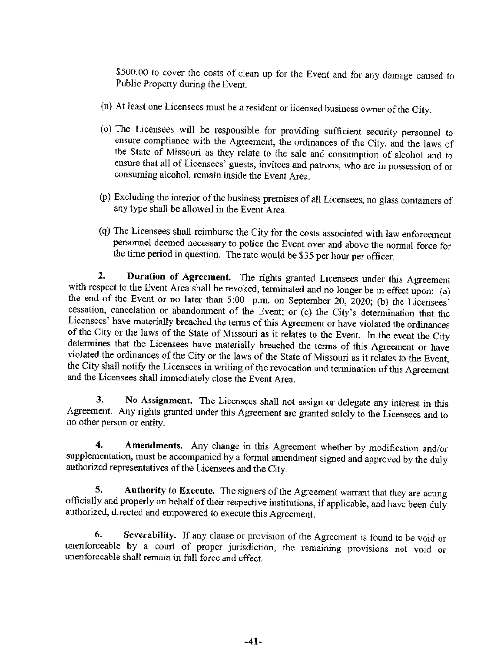\$500. 00 to cover the costs of clean up for the Event and for any damage caused to Public Property during the Event.

- (n) At least one Licensees must be a resident or licensed business owner of the City.
- (o) The Licensees will be responsible for providing sufficient security personnel to ensure compliance with the Agreement, the ordinances of the City, and the laws of the State of Missouri as they relate to the sale and consumption of alcohol and to ensure that all of Licensees' guests, invitees and patrons, who are in possession of or consuming alcohol, remain inside the Event Area.
- (p) Excluding the interior of the business premises of all Licensees, no glass containers of any type shall be allowed in the Event Area.
- (q) The Licensees shall reimburse the City for the costs associated with law enforcement personnel deemed necessary to police the Event over and above the normal force for the time period in question. The rate would be \$35 per hour per officer.

2. Duration of Agreement. The rights granted Licensees under this Agreement with respect to the Event Area shall be revoked, terminated and no longer be in effect upon: (a) the end of the Event or no later than 5:00 p.m. on September 20, 2020; (b) the Licensees<sup>5</sup> cessation, cancelation or abandonment of the Event; or (c) the City's determination that the Licensees' have materially breached the terms of this Agreement or have violated the ordinances of the City or the laws of the State of Missouri as it relates to the Event. In the event the City determines that the Licensees have materially breached the terms of this Agreement or have violated the ordinances of the City or the laws of the State of Missouri as it refates to the Event. the City shall notify the Licensees in writing of the revocation and termination of this Agreement and the Licensees shall immediately close the Event Area.

3. No Assignment. The Licensees shall not assign or delegate any interest in this Agreement. Any rights granted under this Agreement are granted solely'to the Licensees and to no other person or entity.

4. Amendments. Any change in this Agreement whether by modification and/or supplementation, must be accompanied by a formal amendment signed and approved by the duly authorized representatives of the Licensees and the City.

5. Authority to Execute. The signers of the Agreement warrant that they are acting officially and properly on behalf of their respective institutions, if applicable, and have been duly authorized, directed and empowered to execute this Agreement.

6. Severability. If any clause or provision of the Agreement is found to be void or unenforceable by a court of proper jurisdiction, the remaining provisions not void or unenforceable shall remain in full force and effect.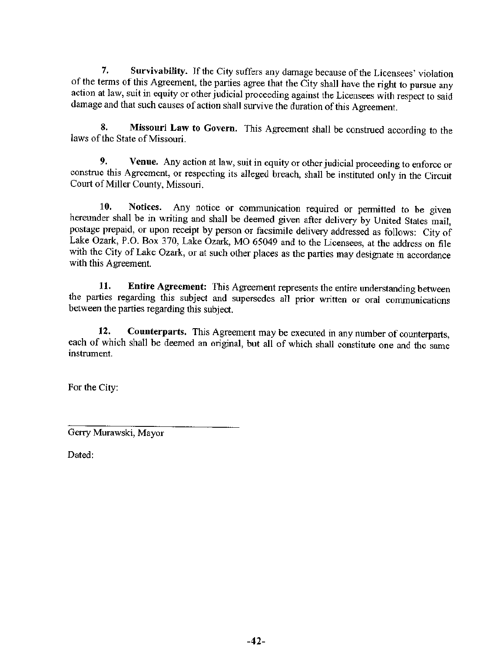7. Survivability. If the City suffers any damage because of the Licensees' violation of the terms of this Agreement, the parties agree that the City shall have the right to pursue any action at law, suit in equity or other judicial proceeding against the Licensees with respect to said damage and that such causes of action shall survive the duration of this Agreement.

8. Missouri Law to Govern. This Agreement shall be construed according to the laws of the State of Missouri.

9. Venue. Any action at law, suit in equity or other judicial proceeding to enforce or construe this Agreement, or respecting its alleged breach, shall be instituted only-in the Circuit Court of Miller County, Missouri.

10. Notices. Any notice or communication required or permitted to be given hereunder shall be in writing and shall be deemed given after delivery by United States mail, postage prepaid, or upon receipt by person or facsimile delivery addressed as follows: City of Lake Ozark, P.O. Box 370, Lake Ozark, MO 65049 and to the Licensees, at the address on'file with the City of Lake Ozark, or at such other places as the parties may designate in accordance with this Agreement.

11. Entire Agreement: This Agreement represents the entire understanding between the parties regarding this subject and supersedes all prior written or oral communications between the parties regarding this subject.

12. Counterparts. This Agreement may be executed in any number of counterparts, each of which shall be deemed an original, but all of which shall constitute one and the same instrument.

For the City:

Gerry Murawski, Mayor

Dated: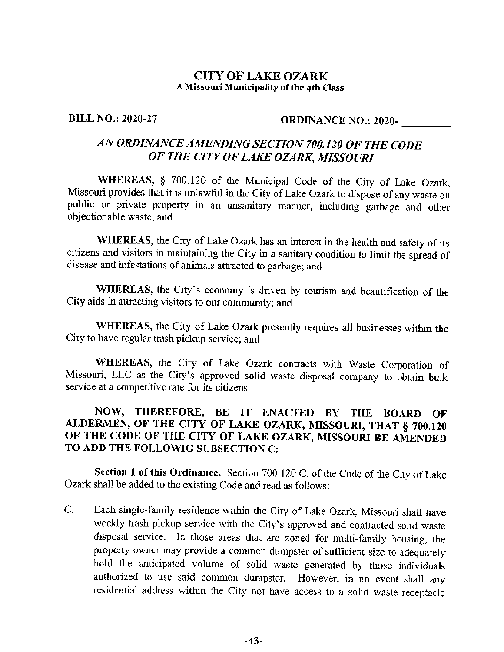# **CITY OF LAKE OZARK** A Missouri Municipality of the 4th Class

# BILL NO.: 2020-27 **ORDINANCE NO.: 2020-**

# AN ORDINANCE AMENDING SECTION 700. 120 OF THE CODE OF THE CITY OF LAKE OZARK, MISSOURI

WHEREAS, § 700.120 of the Municipal Code of the City of Lake Ozark, Missouri provides that it is unlawful in the City of Lake Ozark to dispose of any waste on public or private property in an unsanitary manner, including garbage and other objectionable waste; and

WHEREAS, the City of Lake Ozark has an interest in the health and safety of its citizens and visitors in maintaining the City in a sanitary condition to limit the spread of disease and infestations of animals attracted to garbage; and

WHEREAS, the City's economy is driven by tourism and beautification of the City aids in attracting visitors to our community; and

WHEREAS, the City of Lake Ozark presently requires all businesses within the City to have regular trash pickup service; and

WHEREAS, the City of Lake Ozark contracts with Waste Corporation of Missouri, LLC as the City's approved solid waste disposal company to obtain bulk service at a competitive rate for its citizens.

# NOW, THEREFORE, BE IT ENACTED BY THE BOARD OF ALDERMEN, OF THE CITY OF LAKE OZARK, MISSOURI, THAT § 700.120 OF THE CODE OF THE CITY OF LAKE OZARK, MISSOURI BE AMENDED TO ADD THE FOLLOWIG SUBSECTION C:

Section 1 of this Ordinance. Section 700.120 C. of the Code of the City of Lake Ozark shall be added to the existing Code and read as follows:

c. Each single-family residence within the City of Lake Ozark, Missouri shall have weekly trash pickup service with the City's approved and contracted solid waste disposal service. In those areas that are zoned for multi-family housing, the property owner may provide a common dumpster of sufficient size to adequately hold the anticipated volume of solid waste generated by those individuals authorized to use said common dumpster. However, in no event shall any residential address within the City not have access to a solid waste receptacle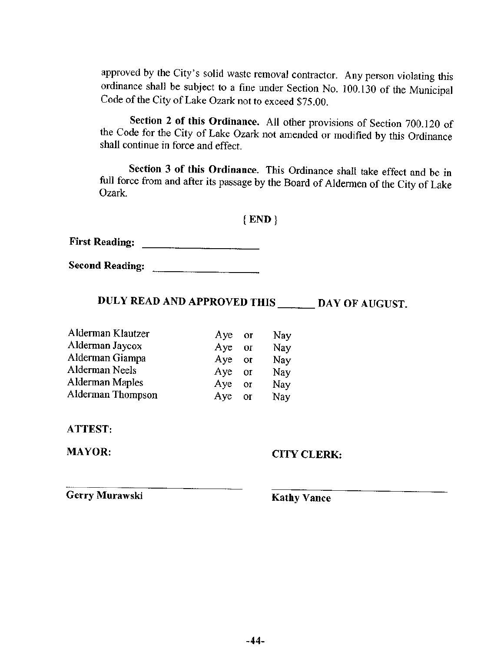approved by the City's solid waste removal contractor. Any person violating this ordinance shall be subject to a fine under Section No. 100. 130 of the Municipal Code of the City of Lake Ozark not to exceed \$75. 00.

Section 2 of this Ordinance. All other provisions of Section 700. 120 of the Code for the City of Lake Ozark not amended or modified by this Ordinance shall continue in force and effect.

Section 3 of this Ordinance. This Ordinance shall take effect and be in full force from and after its passage by the Board of Aldermen of the City of Lake Ozark.

# ${END}$

First Reading:

Second Reading:

DULY READ AND APPROVED THIS \_\_\_\_\_\_\_ DAY OF AUGUST.

| Alderman Klautzer | Aye | - or      | Nay |
|-------------------|-----|-----------|-----|
| Alderman Jaycox   | Aye | or        | Nay |
| Alderman Giampa   | Aye | <b>or</b> | Nay |
| Alderman Neels    | Aye | <b>or</b> | Nay |
| Alderman Maples   | Aye | <b>or</b> | Nay |
| Alderman Thompson | Aye | <b>or</b> | Nay |

ATTEST:

# MAYOR: CITY CLERK:

Gerry Murawski Kathy Vance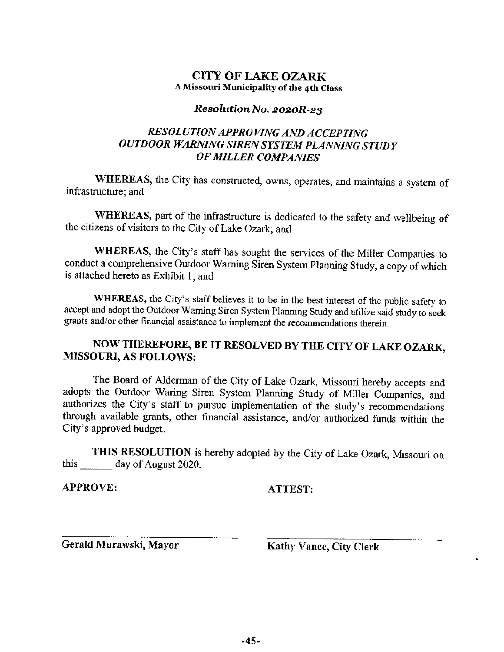# authorizes the City's staff to pursue implementation of the study's recommendations through available grants, other financial assistance, and/or authorized funds within the

adopts the Outdoor Waring Siren System Planning Study of Miller Companies, and

THIS RESOLUTION is hereby adopted by the City of Lake Ozark, Missouri on this \_ day of August 2020.

APPROVE: ATTEST:

Gerald Murawski, Mayor Kathy Vance, City Clerk

City's approved budget.

WHEREAS, the City's staff has sought the services of the Miller Companies to conduct a comprehensive Outdoor Warning Siren System Planning Study, a copy'of which is attached hereto as Exhibit 1; and

accept and adopt the Outdoor Warning Siren System Planning Study and utilize said study to seek

grants and/or other financial assistance to implement the recommendations therein.

WHEREAS, the City's staff believes it to be in the best interest of the public safety to

NOW THEREFORE, BE IT RESOLVED BY THE CITY OF LAKE OZARK. NOW THEREFORE, BE IT RESOLVED BY THE CITY OF LAKE OZARK MISSOURI, AS FOLLOWS:

The Board of Alderman of the City of Lake Ozark, Missouri hereby accepts and

WHEREAS, part of the infrastructure is dedicated to the safety and wellbeing of the citizens of visitors to the City of Lake Ozark; and

# OF MILLER COMPANIES WHEREAS, the City has constructed, owns, operates, and maintains a system of infrastructure; and

CITY OF LAKE OZARK A Missouri Municipality of the 4th Class

Resolution No. 2020R-23

RESOLUTION APPROVING AND ACCEPTING OUTDOOR WARNING SIREN SYSTEM PLANNING STUDY

-45-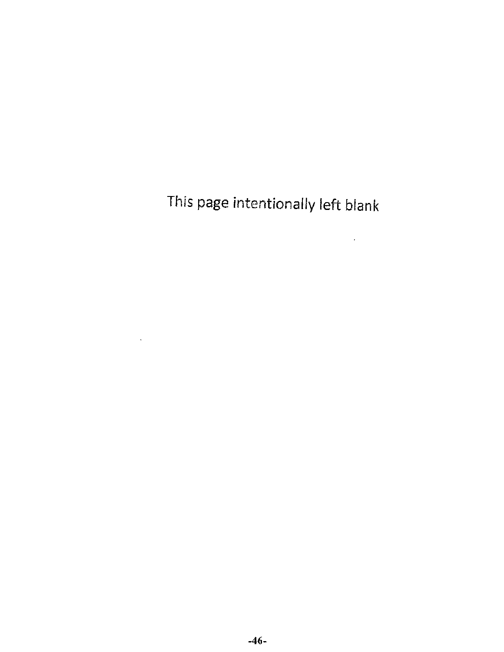This page intentionally left blank

 $\mathcal{L}_{\text{max}}$  . The set of  $\mathcal{L}_{\text{max}}$ 

 $\mathcal{L}(\mathcal{A})$  .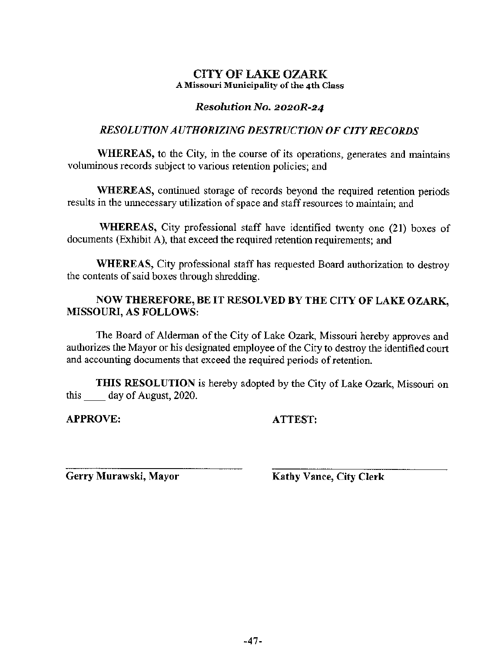# **CITY OF LAKE OZARK** A Missouri Municipality of the 4th Class

# Resolution No. 2020R-24

# RESOLUTION AUTHORIZING DESTRUCTION OF CITY RECORDS

WHEREAS, to the City, in the course of its operations, generates and maintains voluminous records subject to various retention policies; and

WHEREAS, continued storage of records beyond the required retention periods results in the unnecessary utilization of space and staff resources to maintain; and

WHEREAS, City professional staff have identified twenty one (21) boxes of documents (Exhibit A), that exceed the required retention requirements; and

WHEREAS, City professional staff has requested Board authorization to destroy the contents of said boxes through shredding.

# NOW THEREFORE, BE IT RESOLVED BY THE CITY OF LAKE OZARK, MISSOURI, AS FOLLOWS:

The Board of Alderman of the City of Lake Ozark, Missouri hereby approves and authorizes the Mayor or his designated employee of the City to destroy the identified court and accounting documents that exceed the required periods of retention.

THIS RESOLUTION is hereby adopted by the City of Lake Ozark, Missouri on this \_ day of August, 2020.

APPROVE: ATTEST:

Gerry Murawski, Mayor Kathy Vance, City Clerk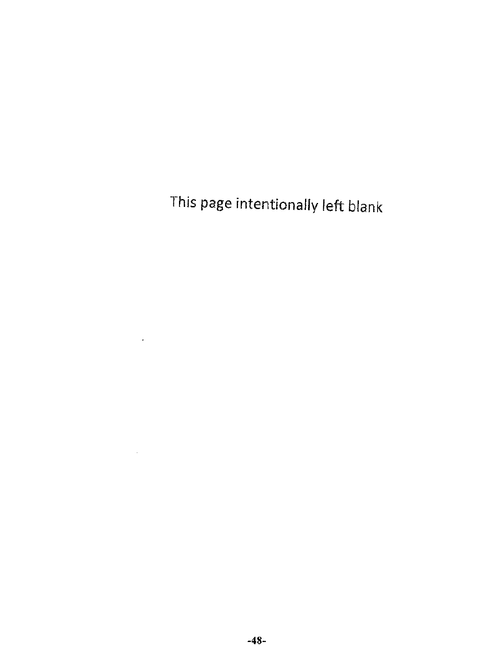This page intentionally left blank

 $\mathcal{L}^{\mathcal{L}}$  and  $\mathcal{L}^{\mathcal{L}}$  and  $\mathcal{L}^{\mathcal{L}}$ 

 $\mathcal{L}^{\text{max}}_{\text{max}}$  ,  $\mathcal{L}^{\text{max}}_{\text{max}}$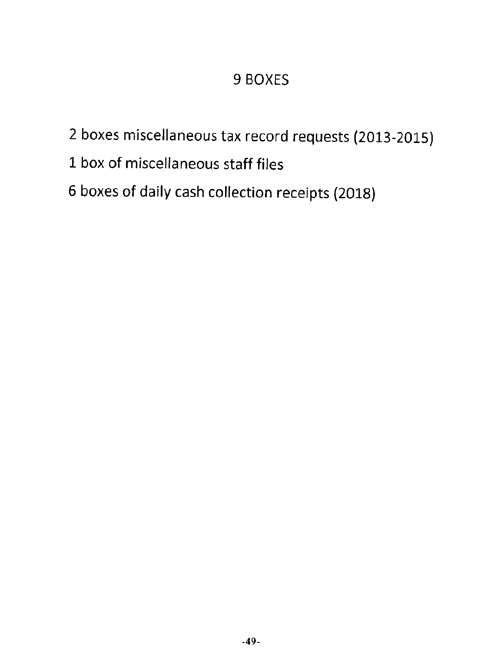# 9 BOXES

- 2 boxes miscellaneous tax record requests (2013-2015)
- 1 box of miscellaneous staff files
- 6 boxes of daily cash collection receipts (2018)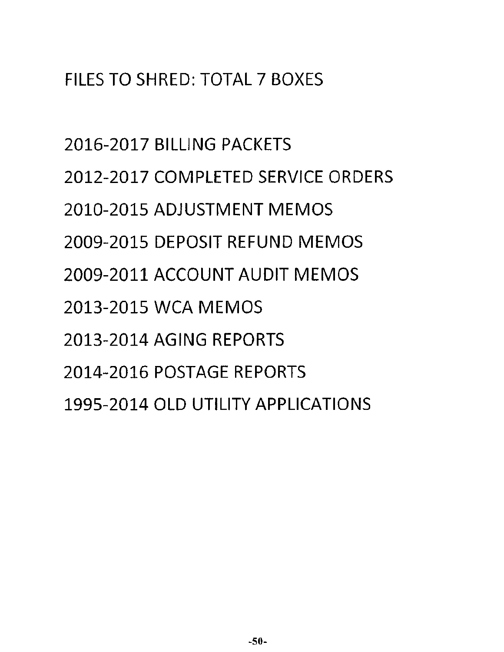# FILES TO SHRED: TOTAL 7 BOXES

2016-2017 BILLING PACKETS 2012-2017 COMPLETED SERVICE ORDERS 2010-2015 ADJUSTMENT MEMOS 2009-2015 DEPOSIT REFUND MEMOS 2009-2011 ACCOUNT AUDIT MEMOS 2013-2015 WCA MEMOS 2013-2014 AGING REPORTS 2014-2016 POSTAGE REPORTS 1995-2014 OLD UTILITY APPLICATIONS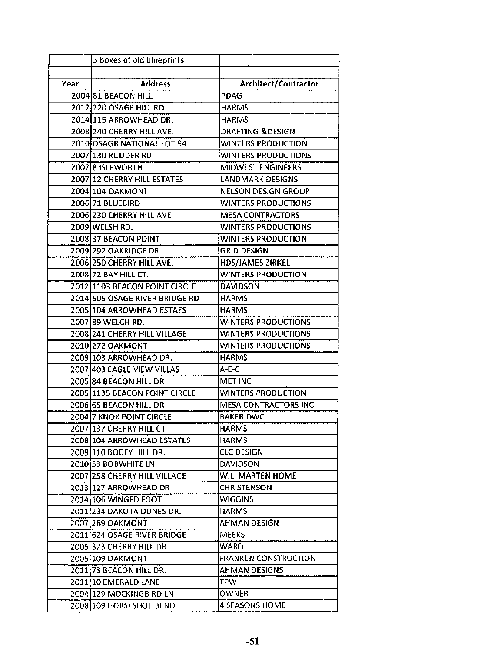|      | 3 boxes of old blueprints      |                             |
|------|--------------------------------|-----------------------------|
|      |                                |                             |
| Year | <b>Address</b>                 | <b>Architect/Contractor</b> |
|      | 2004 81 BEACON HILL            | PDAG                        |
|      | 2012 220 OSAGE HILL RD         | <b>HARMS</b>                |
|      | 2014 115 ARROWHEAD DR.         | <b>HARMS</b>                |
|      | 2008 240 CHERRY HILL AVE.      | <b>DRAFTING &amp;DESIGN</b> |
|      | 2010 OSAGR NATIONAL LOT 94     | <b>WINTERS PRODUCTION</b>   |
|      | 2007 130 RUDDER RD.            | <b>WINTERS PRODUCTIONS</b>  |
|      | 2007 8 ISLEWORTH               | <b>MIDWEST ENGINEERS</b>    |
|      | 2007 12 CHERRY HILL ESTATES    | <b>LANDMARK DESIGNS</b>     |
|      | 2004 104 OAKMONT               | <b>NELSON DESIGN GROUP</b>  |
|      | 2006 71 BLUEBIRD               | <b>WINTERS PRODUCTIONS</b>  |
|      | 2006 230 CHERRY HILL AVE       | <b>MESA CONTRACTORS</b>     |
|      | 2009 WELSH RD.                 | <b>WINTERS PRODUCTIONS</b>  |
|      | 2008 37 BEACON POINT           | <b>WINTERS PRODUCTION</b>   |
|      | 2009 292 OAKRIDGE DR.          | <b>GRID DESIGN</b>          |
|      | 2006 250 CHERRY HILL AVE.      | HDS/JAMES ZIRKEL            |
|      | 2008 72 BAY HILL CT.           | <b>WINTERS PRODUCTION</b>   |
|      | 2012 1103 BEACON POINT CIRCLE  | DAVIDSON                    |
|      | 2014 505 OSAGE RIVER BRIDGE RD | <b>HARMS</b>                |
|      | 2005 104 ARROWHEAD ESTAES      | <b>HARMS</b>                |
|      | 2007 89 WELCH RD.              | <b>WINTERS PRODUCTIONS</b>  |
|      | 2008 241 CHERRY HILL VILLAGE   | <b>WINTERS PRODUCTIONS</b>  |
|      | 2010 272 OAKMONT               | <b>WINTERS PRODUCTIONS</b>  |
|      | 2009 103 ARROWHEAD DR.         | <b>HARMS</b>                |
|      | 2007 403 EAGLE VIEW VILLAS     | A-E-C                       |
|      | 2005 84 BEACON HILL DR         | <b>MET INC</b>              |
|      | 2005 1135 BEACON POINT CIRCLE  | WINTERS PRODUCTION          |
|      | 2006 65 BEACON HILL DR         | <b>MESA CONTRACTORS INC</b> |
|      | 2004 7 KNOX POINT CIRCLE       | <b>BAKER DWC</b>            |
|      | 2007 137 CHERRY HILL CT        | <b>HARMS</b>                |
|      | 2008 104 ARROWHEAD ESTATES     | <b>HARMS</b>                |
|      | 2009 110 BOGEY HILL DR.        | <b>CLC DESIGN</b>           |
|      | 2010 53 BOBWHITE LN            | <b>DAVIDSON</b>             |
|      | 2007 258 CHERRY HILL VILLAGE   | W.L. MARTEN HOME            |
|      | 2013 127 ARROWHEAD DR          | <b>CHRISTENSON</b>          |
|      | 2014 106 WINGED FOOT           | <b>WIGGINS</b>              |
|      | 2011 234 DAKOTA DUNES DR.      | <b>HARMS</b>                |
|      | 2007 269 OAKMONT               | AHMAN DESIGN                |
|      | 2011 624 OSAGE RIVER BRIDGE    | <b>MEEKS</b>                |
|      | 2005 323 CHERRY HILL DR.       | <b>WARD</b>                 |
|      | 2005 109 OAKMONT               | <b>FRANKEN CONSTRUCTION</b> |
|      | 2011 73 BEACON HILL DR.        | <b>AHMAN DESIGNS</b>        |
|      | 2011 10 EMERALD LANE           | TPW.                        |
|      | 2004 129 MOCKINGBIRD LN.       | OWNER                       |
|      | 2008 109 HORSESHOE BEND        | <b>4 SEASONS HOME</b>       |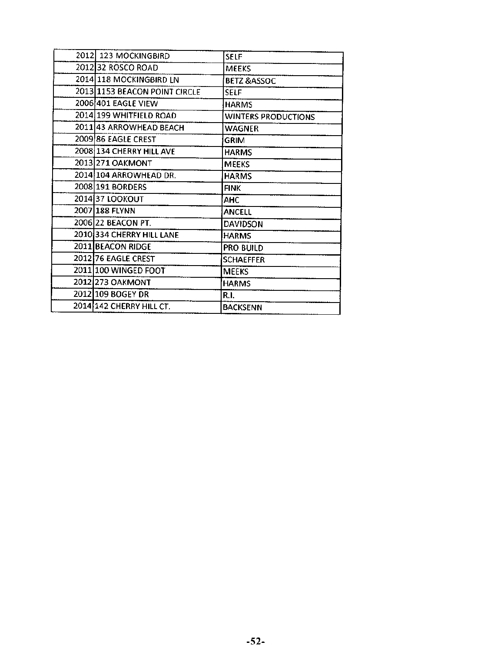| 2012 123 MOCKINGBIRD          | <b>SELF</b>                |
|-------------------------------|----------------------------|
| 2012 32 ROSCO ROAD            | <b>MEEKS</b>               |
| 2014 118 MOCKINGBIRD LN       | <b>BETZ &amp;ASSOC</b>     |
| 2013 1153 BEACON POINT CIRCLE | SELF                       |
| 2006 401 EAGLE VIEW           | <b>HARMS</b>               |
| 2014 199 WHITFIELD ROAD       | <b>WINTERS PRODUCTIONS</b> |
| 2011 43 ARROWHEAD BEACH       | WAGNER                     |
| 2009 86 EAGLE CREST           | <b>GRIM</b>                |
| 2008 134 CHERRY HILL AVE      | <b>HARMS</b>               |
| 2013 271 OAKMONT              | <b>MEEKS</b>               |
| 2014 104 ARROWHEAD DR.        | <b>HARMS</b>               |
| 2008 191 BORDERS              | <b>FINK</b>                |
| 2014 37 LOOKOUT               | АНС                        |
| 2007 188 FLYNN                | ANCELL                     |
| 2006 22 BEACON PT.            | <b>DAVIDSON</b>            |
| 2010 334 CHERRY HILL LANE     | <b>HARMS</b>               |
| 2011 BEACON RIDGE             | <b>PRO BUILD</b>           |
| 2012 76 EAGLE CREST           | <b>SCHAEFFER</b>           |
| 2011 100 WINGED FOOT          | <b>MEEKS</b>               |
| 2012 273 OAKMONT              | <b>HARMS</b>               |
| 2012 109 BOGEY DR             | R.I.                       |
| 2014 142 CHERRY HILL CT.      | <b>BACKSENN</b>            |
|                               |                            |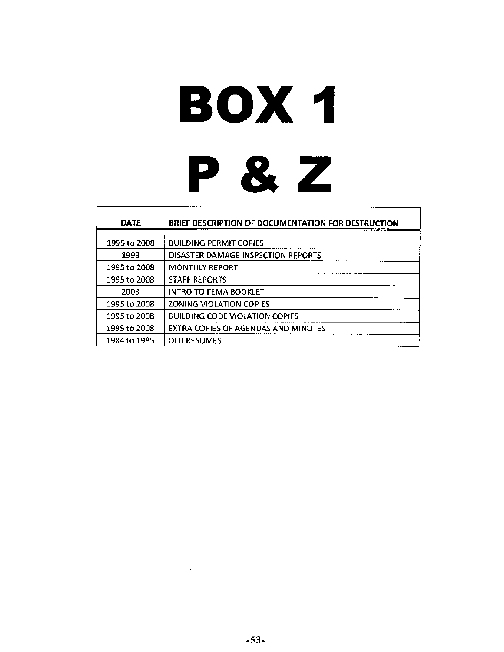# **BOX 1** P&Z

| DATE         | BRIEF DESCRIPTION OF DOCUMENTATION FOR DESTRUCTION |
|--------------|----------------------------------------------------|
| 1995 to 2008 | <b>BUILDING PERMIT COPIES</b>                      |
| 1999         | DISASTER DAMAGE INSPECTION REPORTS                 |
| 1995 to 2008 | <b>MONTHLY REPORT</b>                              |
| 1995 to 2008 | <b>STAFF REPORTS</b>                               |
| 2003         | <b>INTRO TO FEMA BOOKLET</b>                       |
| 1995 to 2008 | <b>ZONING VIOLATION COPIES</b>                     |
| 1995 to 2008 | <b>BUILDING CODE VIOLATION COPIES</b>              |
| 1995 to 2008 | EXTRA COPIES OF AGENDAS AND MINUTES                |
| 1984 to 1985 | <b>OLD RESUMES</b>                                 |

 $\mathcal{L}^{\text{max}}_{\text{max}}$  and  $\mathcal{L}^{\text{max}}_{\text{max}}$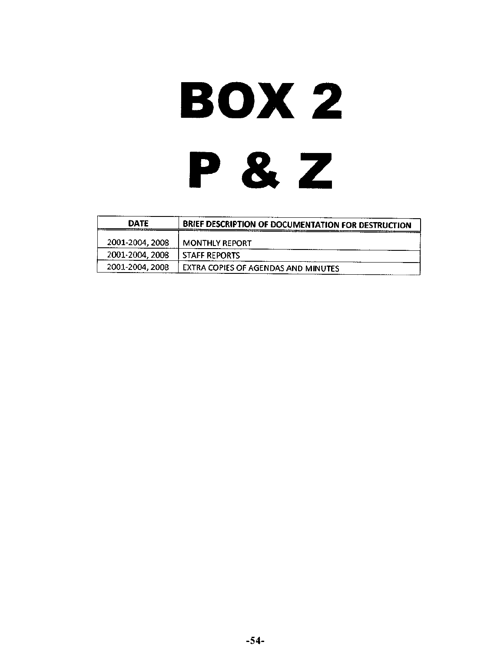# **BOX 2** P&Z

| DATE            | BRIEF DESCRIPTION OF DOCUMENTATION FOR DESTRUCTION |
|-----------------|----------------------------------------------------|
| 2001-2004, 2008 | <b>MONTHLY REPORT</b>                              |
| 2001-2004, 2008 | <b>STAFF REPORTS</b>                               |
| 2001-2004, 2008 | EXTRA COPIES OF AGENDAS AND MINUTES                |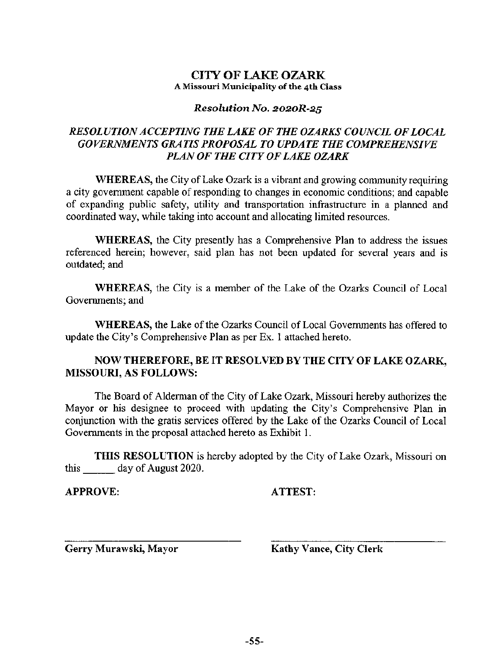WHEREAS, the Lake of the Ozarks Council of Local Governments has offered to

NOW THEREFORE, BE IT RESOLVED BY THE CITY OF LAKE OZARK,

The Board of Alderman of the City of Lake Ozark, Missouri hereby authorizes the Mayor or his designee to proceed with updating the City's Comprehensive Plan in conjunction with the gratis services offered by the Lake of the Ozarks Council of Local Governments in the proposal attached hereto as Exhibit 1.

THIS RESOLUTION is hereby adopted by the City of Lake Ozark, Missouri on this day of August 2020.

APPROVE: ATTEST:

Gerry Murawski, Mayor Kathy Vance, City Clerk

MISSOURI, AS FOLLOWS:

GOVERNMENTS GRATIS PROPOSAL TO UPDATE THE COMPREHENSIVE PLAN OF THE CITY OF LAKE OZARK

**CITY OF LAKE OZARK** A Missouri Municipality of the 4th Class

Resolution No. 2020R-25

RESOLUTION ACCEPTING THE LAKE OF THE OZARKS COUNCIL OF LOCAL

WHEREAS, the City of Lake Ozark is a vibrant and growing community requiring a city government capable of responding to changes in economic conditions; and capable of expanding public safety, utility and transportation infrastructure in a planned and

# coordinated way, while taking into account and allocating limited resources.

WHEREAS, the City presently has a Comprehensive Plan to address the issues referenced herein; however, said plan has not been updated for several years and is outdated; and

WHEREAS, the City is a member of the Lake of the Ozarks Council of Local Governments; and

update the City's Comprehensive Plan as per Ex. 1 attached hereto.

-55-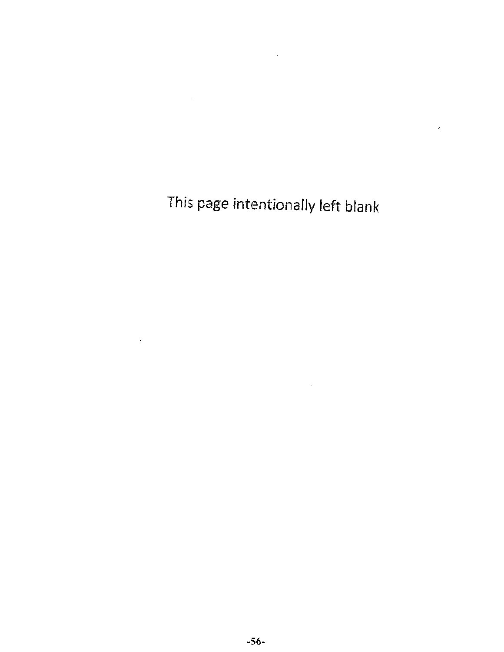$\mathcal{L}(\mathcal{A})$  and  $\mathcal{L}(\mathcal{A})$  . The set of  $\mathcal{L}(\mathcal{A})$  $\label{eq:2.1} \mathcal{L}(\mathcal{L}^{\mathcal{L}}_{\mathcal{L}}(\mathcal{L}^{\mathcal{L}}_{\mathcal{L}})) = \mathcal{L}(\mathcal{L}^{\mathcal{L}}_{\mathcal{L}}(\mathcal{L}^{\mathcal{L}}_{\mathcal{L}})) = \mathcal{L}(\mathcal{L}^{\mathcal{L}}_{\mathcal{L}}(\mathcal{L}^{\mathcal{L}}_{\mathcal{L}}))$ 

 $\epsilon$ 

This page intentionally left blank

 $\label{eq:2.1} \frac{1}{\sqrt{2}}\int_{\mathbb{R}^3}\frac{1}{\sqrt{2}}\left(\frac{1}{\sqrt{2}}\right)^2\left(\frac{1}{\sqrt{2}}\right)^2\left(\frac{1}{\sqrt{2}}\right)^2\left(\frac{1}{\sqrt{2}}\right)^2\left(\frac{1}{\sqrt{2}}\right)^2.$ 

 $\mathcal{L}(\mathcal{L}^{\mathcal{L}})$  and  $\mathcal{L}(\mathcal{L}^{\mathcal{L}})$  and  $\mathcal{L}(\mathcal{L}^{\mathcal{L}})$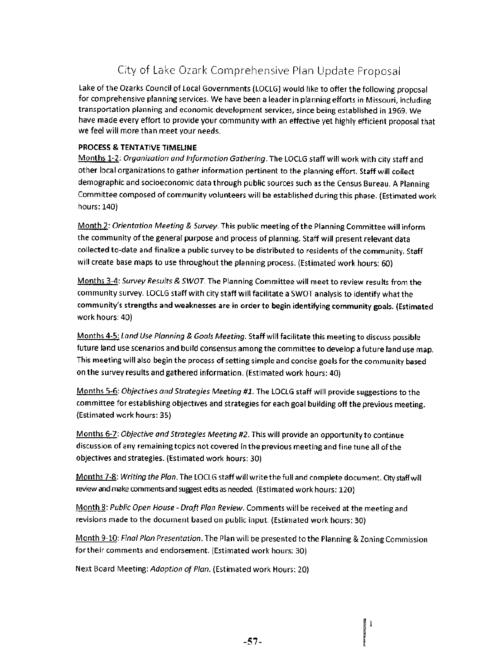# City of Lake Ozark Comprehensive Plan Update Proposal

Lake of the Ozarks Council of Local Governments (LOCLG) would like to offer the following proposal for comprehensive planning services. We have been a leader in planning efforts in Missouri, including transportation planning and economic development services, since being established in 1969. We have made every effort to provide your community with an effective yet highly efficient proposal that we feel will more than meet your needs.

### PROCESS & TENTATIVE TIMELINE

Months 1-2: Organization and Information Gathering. The LOCLG staff will work with city staff and other local organizations to gather information pertinent to the planning effort. Staff will collect demographic and socioeconomic data through public sources such as the Census Bureau. A Planning Committee composed of community volunteers will be established during this phase. (Estimated work hours: 140)

Month 2: Orientation Meeting & Survey. This public meeting of the Planning Committee will inform the community of the general purpose and process of planning. Staff will present relevant data collected to-date and finalize a public survey to be distributed to residents of the community. Staff will create base maps to use throughout the planning process. (Estimated work hours: 60)

Months 3-4: Survey Results & SWOT. The Planning Committee will meet to review results from the community survey. LOCLG staff with city staff will facilitate a SWOT analysis to identify what the community's strengths and weaknesses are in order to begin identifying community goals. (Estimated work hours: 40)

Months 4-5: land Use Planning & Goals Meeting. Staff will facilitate this meeting to discuss possible future land use scenarios and build consensus among the committee to develop a future land use map. This meeting will also begin the process of setting simple and concise goals for the community based on the survey results and gathered information. (Estimated work hours: 40)

Months 5-6: Objectives and Strategies Meeting #1. The LOCLG staff will provide suggestions to the committee for establishing objectives and strategies for each goal building off the previous meeting. (Estimated work hours: 35)

Months 6-7: Objective and Strategies Meeting #2. This will provide an opportunity to continue discussion of any remaining topics not covered in the previous meeting and fine tune all of the objectives and strategies. (Estimated work hours: 30)

Months 7-8: Writing the Plan. The LOCLG staff will write the full and complete document. City staff will review and make comments and suggest edits as needed. (Estimated work hours: 120)

Month 8: Public Open House - Draft Plan Review. Comments will be received at the meeting and revisions made to the document based on public input. (Estimated work hours: 30)

Month 9-10: Final Plan Presentation. The Plan will be presented to the Planning & Zoning Commission for their comments and endorsement. (Estimated work hours: 30)

Next Board Meeting: Adoption of Plan. (Estimated work Hours: 20)

**First**  $\mathbf{1}$